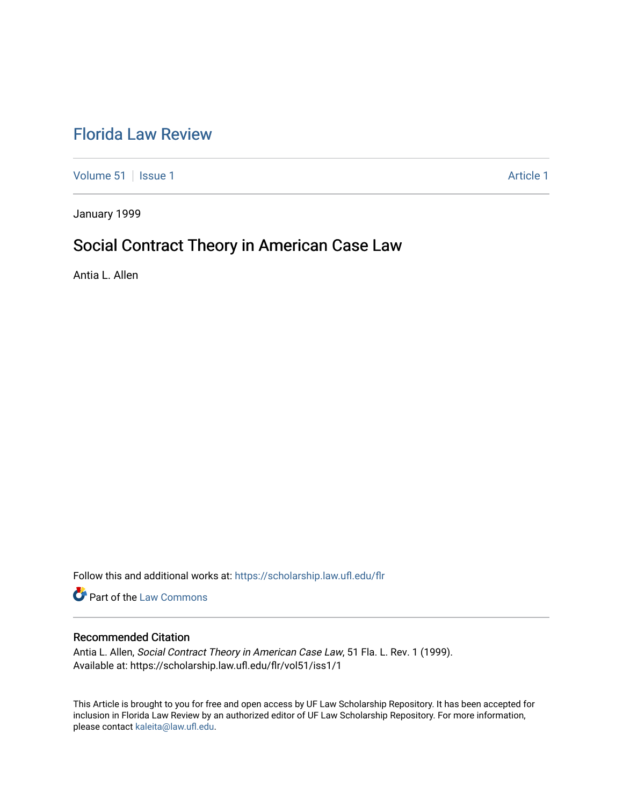# [Florida Law Review](https://scholarship.law.ufl.edu/flr)

[Volume 51](https://scholarship.law.ufl.edu/flr/vol51) | [Issue 1](https://scholarship.law.ufl.edu/flr/vol51/iss1) Article 1

January 1999

# Social Contract Theory in American Case Law

Antia L. Allen

Follow this and additional works at: [https://scholarship.law.ufl.edu/flr](https://scholarship.law.ufl.edu/flr?utm_source=scholarship.law.ufl.edu%2Fflr%2Fvol51%2Fiss1%2F1&utm_medium=PDF&utm_campaign=PDFCoverPages)

Part of the [Law Commons](http://network.bepress.com/hgg/discipline/578?utm_source=scholarship.law.ufl.edu%2Fflr%2Fvol51%2Fiss1%2F1&utm_medium=PDF&utm_campaign=PDFCoverPages)

# Recommended Citation

Antia L. Allen, Social Contract Theory in American Case Law, 51 Fla. L. Rev. 1 (1999). Available at: https://scholarship.law.ufl.edu/flr/vol51/iss1/1

This Article is brought to you for free and open access by UF Law Scholarship Repository. It has been accepted for inclusion in Florida Law Review by an authorized editor of UF Law Scholarship Repository. For more information, please contact [kaleita@law.ufl.edu](mailto:kaleita@law.ufl.edu).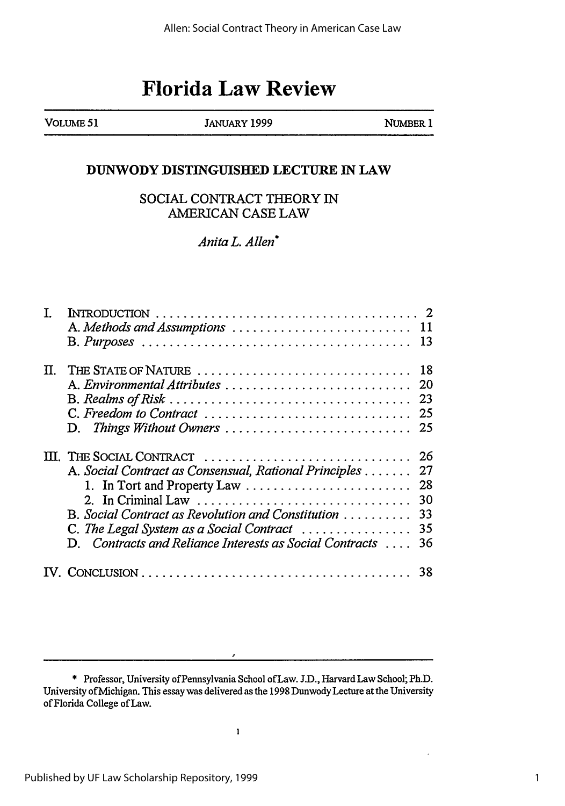# **Florida Law Review**

VOLUME 51 JANUARY 1999 NUMBER 1

# **DUNWODY DISTINGUISHED LECTURE IN LAW**

# **SOCIAL CONTRACT THEORY IN** AMERICAN **CASE** LAW

*Anita L. Allen\**

| I. |                                                         |    |
|----|---------------------------------------------------------|----|
|    | A. Methods and Assumptions  11                          |    |
|    |                                                         |    |
|    | II. THE STATE OF NATURE                                 | 18 |
|    | A. Environmental Attributes                             | 20 |
|    |                                                         | 23 |
|    | C. Freedom to Contract                                  | 25 |
|    | D. Things Without Owners                                | 25 |
|    | III. THE SOCIAL CONTRACT                                | 26 |
|    | A. Social Contract as Consensual, Rational Principles   | 27 |
|    | 1. In Tort and Property Law                             | 28 |
|    |                                                         | 30 |
|    | B. Social Contract as Revolution and Constitution       | 33 |
|    | C. The Legal System as a Social Contract                | 35 |
|    | D. Contracts and Reliance Interests as Social Contracts | 36 |
|    |                                                         | 38 |

 $\lambda$ 

<sup>\*</sup> Professor, University of Pennsylvania School ofLaw. J.D., Harvard Law School; Ph.D. University of Michigan. This essay was delivered as the 1998 Dunwody Lecture at the University of Florida College of Law.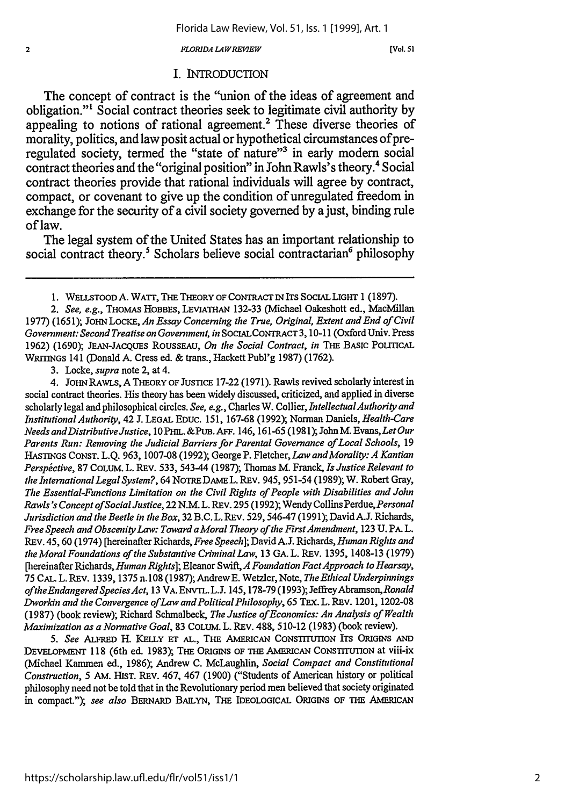*LORIDA LA WREIEW*

[Vol. **51**

# I. INTRODUCTION

The concept of contract is the "union of the ideas of agreement and obligation."' Social contract theories seek to legitimate civil authority **by** appealing to notions of rational agreement.<sup>2</sup> These diverse theories of morality, politics, and law posit actual or hypothetical circumstances of preregulated society, termed the "state of nature"<sup>3</sup> in early modern social contract theories and the "original position" in John Rawls's theory.<sup>4</sup> Social contract theories provide that rational individuals will agree **by** contract, compact, or covenant to give up the condition of unregulated freedom in exchange for the security of a civil society governed **by** a just, binding rule of law.

The legal system of the United States has an important relationship to social contract theory.<sup>5</sup> Scholars believe social contractarian<sup>6</sup> philosophy

3. Locke, *supra* note 2, at 4.

 $\overline{\mathbf{2}}$ 

4. JoHN RAWLS, A THEORY OF JUSTICE 17-22 (1971). Rawls revived scholarly interest in social contract theories. His theory has been widely discussed, criticized, and applied in diverse scholarly legal and philosophical circles. *See, e.g., Charles W. Collier, Intellectual Authority and InstitutionalAuthority,* 42 J. LEGAL EDUC. 151, 167-68 (1992); Norman Daniels, *Health-Care Needs andDistributive Justice,* 10 PHIL. &PUB. **AFF.** 146, 161-65 (1981); John M. Evans, *Let Our Parents Run: Removing the Judicial Barriers for Parental Governance of Local Schools,* 19 HASTINGS CONST. L.Q. 963, 1007-08 (1992); George P. Fletcher, *Law andMorality: A Kantian Perspictive,* 87 COLUM. L. REv. 533, 543-44 (1987); Thomas M. Franck, *Is Justice Relevant to the International Legal System?,* 64 NOTRE DAME L. REv. 945, 951-54 (1989); W. Robert Gray, *The Essential-Functions Limitation on the Civil Rights of People with Disabilities and John Rawls's Concept ofSocialJustice,* 22 N.M.L. REv. 295 (1992); Wendy Collins *Perdue,Personal Jurisdiction and the Beetle in the Box,* 32 B.C.L. REV. 529,546-47 (1991); David **A.J.** Richards, *Free Speech and Obscenity Law: Toward a Moral Theory ofthe FirstAmendment,* 123 U. PA. L. REV. 45, 60 (1974) [hereinafter Richards, *Free Speech];* David **A.J.** Richards, *Human Rights and the Moral Foundations of the Substantive Criminal Law,* 13 GA. L. REV. 1395, 1408-13 (1979) [hereinafter Richards, *Human Rights];* Eleanor Swift, *A Foundation FactApproach to Hearsay,* 75 CAL. L. REv. 1339, 1375 n.108 (1987); AndrewE. Wetzler, Note, *The Ethical Underpinnings oftheEndangeredSpeciesAct,* 13 VA. ENVTL. L.J. 145,178-79 (1993); JeffreyAbramson,Ronald *Dworkin and the Convergence of Law and Political Philosophy,* 65 TEX. L. REV. 1201, 1202-08 (1987) (book review); Richard Schmalbeck, *The Justice of Economics: An Analysis of Wealth Maximization as a Normative Goal,* 83 COLUM. L. REv. 488, 510-12 (1983) (book review).

*5. See* **ALFRED** H. KELLY **ET AL.,** THE AMERICAN CONSTITUTION ITS ORIGINS **AND** DEVELOPMENT 118 (6th ed. 1983); THE ORIGINS **OF** THE AMERICAN CONSTrTUTION at viii-ix (Michael Kanunen ed., 1986); Andrew C. McLaughlin, *Social Compact and Constitutional Construction,* 5 AM. HIST. REV. 467, 467 (1900) ("Students of American history or political philosophy need not be told that in the Revolutionary period men believed that society originated in compact."); *see also* BERNARD BAiLYN, THE IDEOLOGICAL ORIGINS OF THE AMERICAN

<sup>1.</sup> WELLSTOOD A. WATT, THE THEORY OF CONTRACT IN ITS SOCIAL LIGHT 1 (1897).

*<sup>2.</sup> See, e.g.,* THOMAS HOBBES, LEVIATHAN 132-33 (Michael Oakeshott ed., MacMillan 1977) (1651); JOHN LOCKE, *An Essay Concerning* the *True, Original, Extent and End of Civil Government: Second Treatise on Government, in* SOCIALCONTRACT 3, 10-11 (Oxford Univ. Press 1962) (1690); JEAN-JACQUES ROUSSEAU, *On* the *Social Contract, in* THE BASIC POLITICAL WRITINGS 141 (Donald A. Cress ed. & trans., Hackett Publ'g 1987) (1762).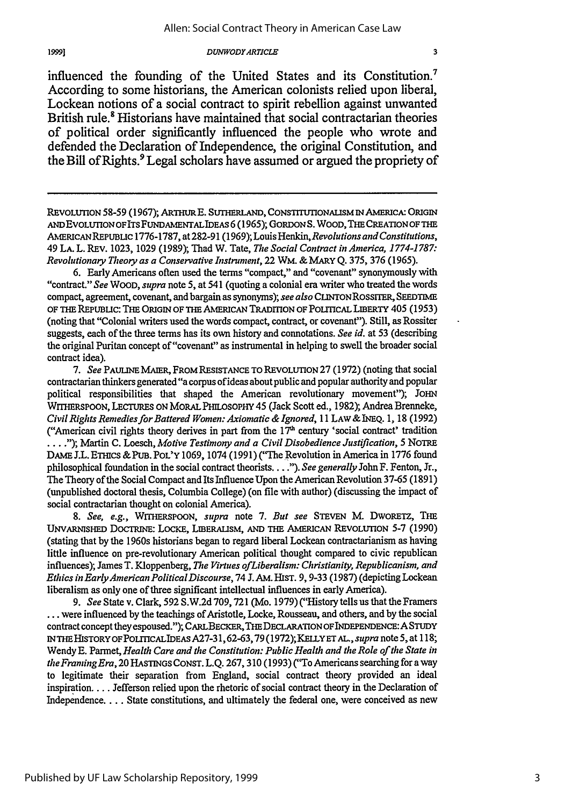influenced the founding of the United States and its Constitution.7 According to some historians, the American colonists relied upon liberal, Lockean notions of a social contract to spirit rebellion against unwanted British rule.<sup>8</sup> Historians have maintained that social contractarian theories of political order significantly influenced the people who wrote and defended the Declaration of Independence, the original Constitution, and the Bill of Rights.<sup>9</sup> Legal scholars have assumed or argued the propriety of

REVOLUTION 58-59 (1967); ARTHUR E. SUTHERLAND, CONSTITUTIONALISM IN AMERICA: ORIGIN ANDEVOLuTIONOFITSFUNDAMENTALIDEAS 6 (1965); GORDONS. WOOD, THE CREATION OF THE AMERICAN REPUBLIC 1776-1787, at 282-91 (1969); Louis Henkin, Revolutions and Constitutions, 49 LA. L. REv. 1023, 1029 (1989); Thad W. Tate, *The Social Contract in America, 1774-1787: Revolutionary Theory as a Conservative Instrument,* 22 WM. & MARY Q. 375, 376 (1965).

6. Early Americans often used the terms "compact," and "covenant" synonymously with "contract." *See WOOD, supra* note 5, at 541 (quoting a colonial era writer who treated the words compact, agreement, covenant, and bargain as synonyms); *see also* CUNToNRossrrER, **SEEDTME** OF **THE** REPuBuc: **THE** ORIGIN OF **THE** AMERICAN TRADrION OF PoLrncAL LmERTY 405 **(1953)** (noting that "Colonial writers used the words compact, contract, or covenant"). Still, as Rossiter suggests, each of the three terms has its own history and connotations. *See id.* at 53 (describing the original Puritan concept of "covenant" as instrumental in helping to swell the broader social contract idea).

7. See PAULINE MAIER, FROM RESISTANCE TO REVOLUTION 27 (1972) (noting that social contractarian thinkers generated "a corpus of ideas about public and popular authority and popular political responsibilities that shaped the American revolutionary movement"); JOHN WITHERSPOON, LECTURES ON MORAL PHILOSOPHY 45 (Jack Scott ed., 1982); Andrea Brenneke, *Civil Rights Remedies for Battered Women: Axiomatic & Ignored,* 11 LAw & **INEQ.** 1, 18 (1992) ("American civil rights theory derives in part from the **171** century 'social contract' tradition .... *");* Martin C. Loesch, *Motive Testimony and a Civil Disobedience Justification,* 5 NOTRE DAME J.L. ETHICS & PUB. POL'Y 1069, 1074 (1991) ("The Revolution in America in 1776 found philosophical foundation in the social contract theorists.. **.** *."). See generally* John F. Fenton, Jr., The Theory of the Social Compact and Its Influence Upon the American Revolution 37-65 (1891) (unpublished doctoral thesis, Columbia College) (on file with author) (discussing the impact of social contractarian thought on colonial America).

*8. See, e.g.,* WrTHERSPOON, *supra* note **7.** *But see* STEVEN M. DWORETZ, THE UNVARNISHED DOCTRINE: LOCKE, LIBERALISM, AND THE AMERICAN REVOLUTION 5-7 (1990) (stating that by the 1960s historians began to regard liberal Lockean contractarianism as having little influence on pre-revolutionary American political thought compared to civic republican influences); James T. Kloppenberg, *The Virtues ofLiberalism: Christianity, Republicanism, and Ethics in EarlyAmerican PoliticalDiscourse,* 74 J. **AM.** HIST. 9, 9-33 (1987) (depicting Lockean liberalism as only one of three significant intellectual influences in early America).

*9. See* State v. Clark, 592 S.W.2d 709, 721 (Mo. 1979) ("History tells us that the Framers ... were influenced by the teachings of Aristotle, Locke, Rousseau, and others, and by the social contract concept they espoused.'); CARLBEcKER, **THE** DECLARATION OFINDEPENDENCE:A STUDY IN THE HISTORY OFPOIHCALIDEAs A27-31,62-63,79 (1972); KELLYET AL., *supra* note **5,** at 118; Wendy **E.** Parmet, *Health Care and the Constitution: Public Health and the Role of the State in the FramingEra,* 20 HASTINGS CONST. **L.Q.** 267, **310** (1993) ("To Americans searching for a way to legitimate their separation from England, social contract theory provided an ideal inspiration. ... Jefferson relied upon the rhetoric of social contract theory in the Declaration of Independence .... State constitutions, and ultimately the federal one, were conceived as new

1999)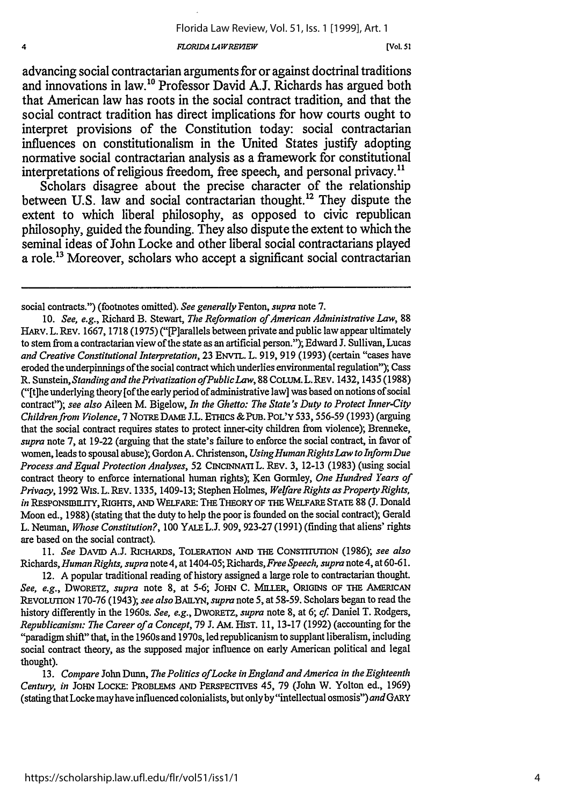*FLORIDA LA WREPlEW[*

 $\overline{4}$ 

advancing social contractarian arguments for or against doctrinal traditions and innovations in law." Professor David **A.J.** Richards has argued both that American law has roots in the social contract tradition, and that the social contract tradition has direct implications for how courts ought to interpret provisions of the Constitution today: social contractarian influences on constitutionalism in the United States justify adopting normative social contractarian analysis as a framework for constitutional interpretations of religious freedom, free speech, and personal privacy.<sup>11</sup>

Scholars disagree about the precise character of the relationship between U.S. law and social contractarian thought.<sup>12</sup> They dispute the extent to which liberal philosophy, as opposed to civic republican philosophy, guided the founding. They also dispute the extent to which the seminal ideas of John Locke and other liberal social contractarians played a role. 13 Moreover, scholars who accept a significant social contractarian

11. *See DAVID A.J. RICHARDS*, TOLERATION AND THE CONSTITUTION (1986); *see also* Richards, *Human Rights, supra* note 4, at 1404-05; Richards, Free *Speech, supra* note 4, at 60-61.

12. A popular traditional reading of history assigned a large role to contractarian thought. See, e.g., DWORETZ, *supra* note 8, at 5-6; JOHN C. MILLER, ORIGINS OF THE AMERICAN REVOLUTION 170-76 (1943); see also BAILYN, supra note 5, at 58-59. Scholars began to read the history differently in the 1960s. *See, e.g., DwORETz, supra* note 8, at 6; cf. Daniel T. Rodgers, *Republicanism: The Career of a Concept,* 79 **J.** AM. HIsT. 11, 13-17 (1992) (accounting for the "paradigm shift" that, inthe 1960s and 1970s, led republicanism to supplant liberalism, including social contract theory, as the supposed major influence on early American political and legal thought).

13. *Compare* John Dunn, *The Politics ofLocke in England and America in the Eighteenth Century, in* JOHN LOCKE: PROBLEMS **AND** PERSPECTIVES 45, 79 (John W. Yolton ed., 1969) (stating that Locke may have influenced colonialists, but only by "intellectual osmosis") *and* GARY

social contracts.") (footnotes omitted). *See generally* Fenton, *supra* note **7.**

<sup>10.</sup> *See, e.g.,* Richard B. Stewart, *The Reformation of American Administrative Law,* <sup>88</sup> HARV.L.REV. 1667, 1718 (1975) ("[P]arallels between private and public law appear ultimately to stem from a contractarian view of the state as an artificial person."); Edward J. Sullivan, Lucas *and Creative Constitutional Interpretation,* 23 ENvTL. L. 919, 919 (1993) (certain "cases have eroded the underpinnings of the social contract which underlies environmental regulation"); Cass R. *Sunstein, Standing and the Privatization ofPublicLaw,* 88 CoLuM. L.REv. 1432, 1435 (1988) ("[t]he underlying theory [of the early period of administrative law] was based on notions of social contract"); *see also* Aileen M. Bigelow, *In the Ghetto: The State's Duty to Protect Inner-City Childrenfrom Violence,* 7 NOTRE **DAME** J.L. ETHICs & **PUB.** POL'Y 533, 556-59 (1993) (arguing that the social contract requires states to protect inner-city children from violence); Brenneke, *supra* note 7, at 19-22 (arguing that the state's failure to enforce the social contract, in favor of women, leads to spousal abuse); Gordon A. Christenson, *UsingHuman RightsLaw to Inform Due Process and Equal Protection Analyses,* 52 **CINCINNATI** L. REv. 3, 12-13 (1983) (using social contract theory to enforce international human rights); Ken Gormley, *One Hundred Years of Privacy,* 1992 Wis.L. REv. 1335, 1409-13; Stephen Holmes, *Welfare Rights as Property Rights, in* **RESPONSIBILITY,** RIGHTS, **AND** WELFARE: THE THEORY **OF** THE WELFARE **STATE** 88 **(J.** Donald Moon ed., 1988) (stating that the duty to help the poor is founded on the social contract); Gerald L. Neuman, *Whose Constitution?,* 100 YALE L.J. 909, 923-27 (1991) (finding that aliens' rights are based on the social contract).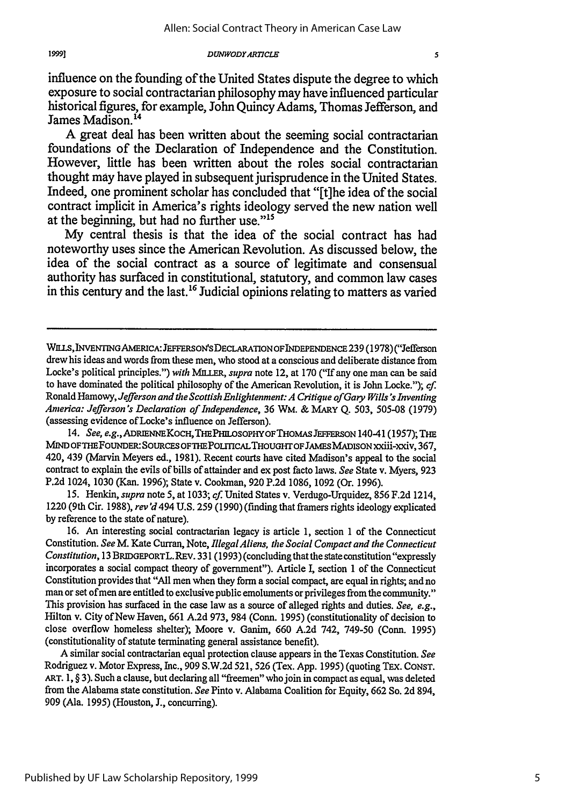influence on the founding of the United States dispute the degree to which exposure to social contractarian philosophy may have influenced particular historical figures, for example, John Quincy Adams, Thomas Jefferson, and James Madison.<sup>14</sup>

**A** great deal has been written about the seeming social contractarian foundations of the Declaration of Independence and the Constitution. However, little has been written about the roles social contractarian thought may have played in subsequent jurisprudence in the United States. Indeed, one prominent scholar has concluded that "[t]he idea of the social contract implicit in America's rights ideology served the new nation well at the beginning, but had no further use."<sup>15</sup>

**My** central thesis is that the idea of the social contract has had noteworthy uses since the American Revolution. As discussed below, the idea of the social contract as a source of legitimate and consensual authority has surfaced in constitutional, statutory, and common law cases in this century and the last.<sup>16</sup> Judicial opinions relating to matters as varied

14. *See, e.g., ADRIENNE KOCH, THE PHILOSOPHY OF THOMAS JEFFERSON 140-41 (1957); THE* MIND OF THE FOUNDER: SOURCES OF THE POLITICAL THOUGHT OF JAMES MADISON xxiii-xxiv, 367, 420, 439 (Marvin Meyers ed., 1981). Recent courts have cited Madison's appeal to the social contract to explain the evils of bills of attainder and ex post facto laws. *See* State v. Myers, 923 P.2d 1024, 1030 (Kan. 1996); State v. Cookman, 920 P.2d 1086, 1092 (Or. 1996).

15. Henkin, *supra* note 5, at 1033; cf. United States v. Verdugo-Urquidez, 856 F.2d 1214, 1220 (9th Cir. 1988), *rev'd* 494 U.S. 259 (1990) (finding that framers rights ideology explicated by reference to the state of nature).

16. An interesting social contractarian legacy is article **1,** section 1 of the Connecticut Constitution. *See* M. Kate Curran, Note, *Illegal Aliens, the Social Compact and the Connecticut Constitution,* 13 BRIDGEPORTL. REV. 331 (1993) (concluding that the state constitution "expressly incorporates a social compact theory of government"). Article I, section 1 of the Connecticut Constitution provides that "All men when they form a social compact, are equal in rights; and no man or set of men are entitled to exclusive public emoluments or privileges from the community." This provision has surfaced in the case law as a source of alleged rights and duties. *See, e.g.,* Hilton v. City of New Haven, 661 A.2d 973, 984 (Conn. 1995) (constitutionality of decision to close overflow homeless shelter); Moore v. Ganim, 660 A.2d 742, 749-50 (Conn. 1995) (constitutionality of statute terminating general assistance benefit).

A similar social contractarian equal protection clause appears in the Texas Constitution. *See* Rodriguez v. Motor Express, Inc., 909 S.W.2d 521, 526 (Tex. App. 1995) (quoting TEx. CONsT. *ART.* 1, § 3). Such a clause, but declaring all "freemen" who join in compact as equal, was deleted from the Alabama state constitution. *See* Pinto v. Alabama Coalition for Equity, 662 So. 2d 894, 909 (Ala. 1995) (Houston, J., concurring).

Wn!S, INVENTINGAMERICA:JEFFERSON'SDECLARATIONOFINDEPENDENCE 239 (1978) ("Jefferson drew his ideas and words from these men, who stood at a conscious and deliberate distance from Locke's political principles.") *with MILLER, supra* note 12, at 170 ("If any one man can be said to have dominated the political philosophy of the American Revolution, it is John Locke."); cf. Ronald Hamowy, *Jefferson and the Scottish Enlightenment: A Critique of Gary Wills's Inventing America: Jefferson's Declaration of Independence,* 36 WM. & MARY Q. 503, 505-08 (1979) (assessing evidence of Locke's influence on Jefferson).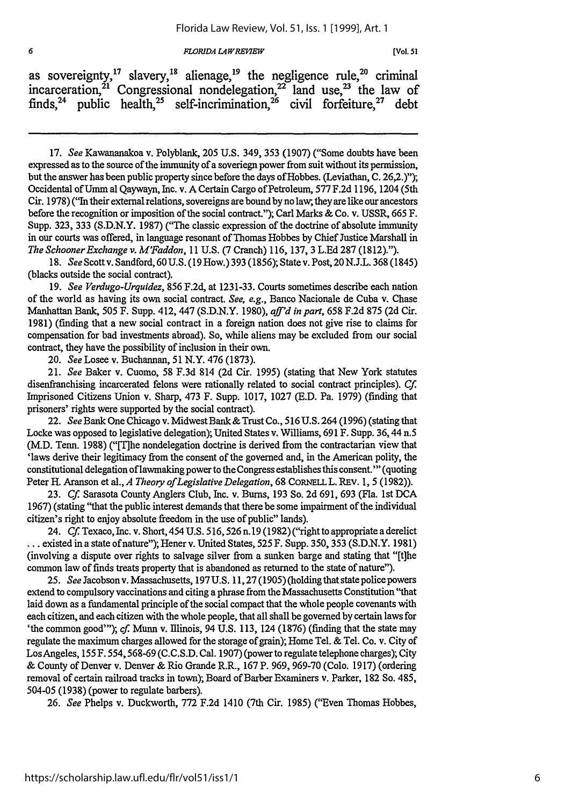*FLORIDA LA WREfKEW*

|  | as sovereignty, <sup>17</sup> slavery, <sup>18</sup> alienage, <sup>19</sup> the negligence rule, <sup>20</sup> criminal |  |  |  |  |  |
|--|--------------------------------------------------------------------------------------------------------------------------|--|--|--|--|--|
|  | incarceration, <sup>21</sup> Congressional nondelegation, <sup>22</sup> land use, <sup>23</sup> the law of               |  |  |  |  |  |
|  | finds, <sup>24</sup> public health, <sup>25</sup> self-incrimination, <sup>26</sup> civil forfeiture, <sup>27</sup> debt |  |  |  |  |  |

17. *See* Kawananakoa v. Polyblank, 205 U.S. 349, 353 (1907) ("Some doubts have been expressed as to the source of the immunity of a soveriegn power from suit without its permission, but the answer has been public property since before the days of Hobbes. (Leviathan, C. 26,2.)"); Occidental ofUmm al Qaywayn, Inc. v. A Certain Cargo of Petroleum, 577 F.2d 1196, 1204 (5th Cir. 1978) ("In their external relations, sovereigns are bound by no law, they are like our ancestors before the recognition or imposition of the social contract."); Carl Marks & Co. v. USSR, 665 F. Supp. 323, 333 (S.D.N.Y. 1987) ("The classic expression of the doctrine of absolute immunity in our courts was offered, in language resonant of Thomas Hobbes by Chief Justice Marshall in *The Schooner Exchange v. M'Faddon, I* 1 U.S. (7 Cranch) 116, 137, 3 L.Ed 287 (1812).").

18. *See* Scott v. Sandford, 60 U.S. (19 How.) 393 (1856); State v. Post, 20 **N.J.L.** 368 (1845) (blacks outside the social contract).

19. *See Verdugo-Urquidez,* 856 F.2d, at 1231-33. Courts sometimes describe each nation of the world as having its own social contract. *See, e.g.,* Banco Nacionale de Cuba v. Chase Manhattan Bank, 505 F. Supp. 412, 447 (S.D.N.Y. 1980), *aff'd in part,* 658 F.2d 875 (2d Cir. 1981) (finding that a new social contract in a foreign nation does not give rise to claims for compensation for bad investments abroad). So, while aliens may be excluded from our social contract, they have the possibility of inclusion in their own.

20. *See* Losee v. Buchannan, 51 N.Y. 476 (1873).

6

21. *See* Baker v. Cuomo, 58 F.3d 814 (2d Cir. 1995) (stating that New York statutes disenfranchising incarcerated felons were rationally related to social contract principles). *Cf.* Imprisoned Citizens Union v. Sharp, 473 F. Supp. 1017, 1027 (E.D. Pa. 1979) (finding that prisoners' rights were supported by the social contract).

22. *See* Bank One Chicago v. Midwest Bank & Trust Co., 516 U.S. 264 (1996) (stating that Locke was opposed to legislative delegation); United States v. Williams, 691 F. Supp. 36,44 n.5 (M.D. Tenn. 1988) ("[The nondelegation doctrine is derived from the contractarian view that 'laws derive their legitimacy from the consent of the governed and, in the American polity, the constitutional delegation of lawmaking power to the Congress establishes this consent."' (quoting Peter H. Aranson et al., *A Theory of Legislative Delegation*, 68 CORNELL L. REV. 1, 5 (1982)).

23. *Cf.* Sarasota County Anglers Club, Inc. v. Bums, 193 So. 2d 691, 693 (Fla. 1st DCA 1967) (stating "that the public interest demands that there be some impairment of the individual citizen's right to enjoy absolute freedom in the use of public" lands).

24. *Cf* Texaco, Inc. v. Short, 454 U.S. 516,526 n. 19 (1982) ("right to appropriate a derelict ... existed in a state of nature"); Hener v. United States, **525** F. Supp. 350, 353 (S.D.N.Y. 1981) (involving a dispute over rights to salvage silver from a sunken barge and stating that "[t]he common law of finds treats property that is abandoned as returned to the state of nature").

25. *See* Jacobson v. Massachusetts, 197 U.S. 11,27 (1905) (holding that state police powers extend to compulsory vaccinations and citing a phrase from the Massachusetts Constitution "that laid down as a fundamental principle of the social compact that the whole people covenants with each citizen, and each citizen with the whole people, that all shall be governed by certain laws for 'the common good"'); *cf.* Munn v. Illinois, 94 U.S. 113, 124 (1876) (finding that the state may regulate the maximum charges allowed for the storage of grain); Home Tel. & Tel. Co. v. City of LosAngeles, **155** F. 554,568-69 (C.C.S.D. Cal. 1907) (power to regulate telephone charges); City & County of Denver v. Denver & Rio Grande R.R., 167 P. 969, 969-70 (Colo. 1917) (ordering removal of certain railroad tracks in town); Board of Barber Examiners v. Parker, 182 So. 485, 504-05 (1938) (power to regulate barbers).

26. *See* Phelps v. Duckworth, 772 F.2d 1410 (7th Cir. 1985) ("Even Thomas Hobbes,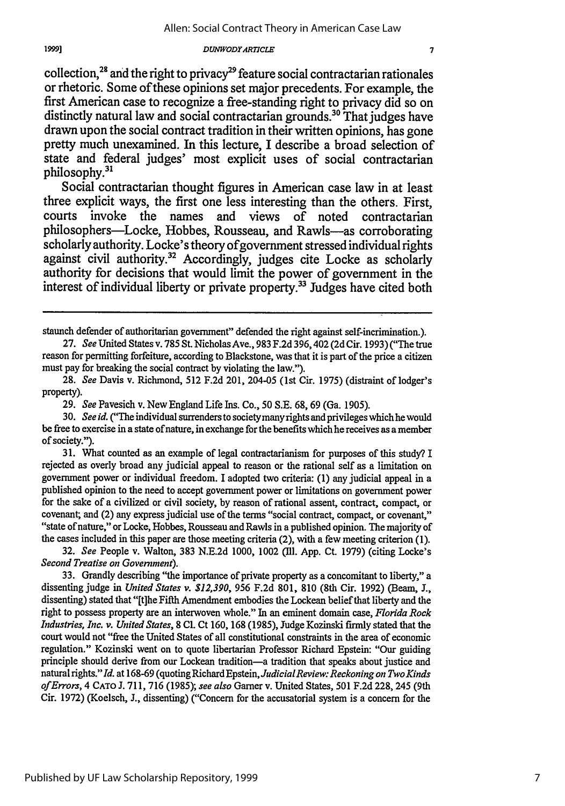collection,<sup>28</sup> and the right to privacy<sup>29</sup> feature social contractarian rationales or rhetoric. Some of these opinions set major precedents. For example, the first American case to recognize a free-standing right to privacy did so on distinctly natural law and social contractarian grounds.<sup>30</sup> That judges have drawn upon the social contract tradition in their written opinions, has gone pretty much unexamined. In this lecture, I describe a broad selection of state and federal judges' most explicit uses of social contractarian philosophy.<sup>31</sup>

Social contractarian thought figures in American case law in at least three explicit ways, the first one less interesting than the others. First, courts invoke the names and views of noted contractarian philosophers-Locke, Hobbes, Rousseau, and Rawls-as corroborating scholarly authority. Locke's theory of government stressed individual rights against civil authority.<sup>32</sup> Accordingly, judges cite Locke as scholarly authority for decisions that would limit the power of government in the interest of individual liberty or private property.<sup>33</sup> Judges have cited both

31. What counted as an example of legal contractarianism for purposes of this study? I rejected as overly broad any judicial appeal to reason or the rational self as a limitation on government power or individual freedom. I adopted two criteria: (1) any judicial appeal in a published opinion to the need to accept government power or limitations on government power for the sake of a civilized or civil society, by reason of rational assent, contract, compact, or covenant; and (2) any express judicial use of the terms "social contract, compact, or covenant," "state of nature," or Locke, Hobbes, Rousseau and Rawls in a published opinion. The majority of the cases included in this paper are those meeting criteria (2), with a few meeting criterion (1).

32. *See* People v. Walton, 383 N.E.2d 1000, 1002 **(111.** App. Ct. 1979) (citing Locke's *Second Treatise on Government).*

33. Grandly describing "the importance of private property as a concomitant to liberty," a dissenting judge in *United States v. \$12,390, 956* F.2d 801, 810 (8th Cir. 1992) (Beam, **J.,** dissenting) stated that "[t]he Fifth Amendment embodies the Lockean belief that liberty and the right to possess property are an interwoven whole." In an eminent domain case, *Florida Rock Industries, Inc. v. United States,* 8 **Cl.** Ct 160, 168 (1985), Judge Kozinski firmly stated that the court would not "free the United States of all constitutional constraints in the area of economic regulation." Kozinski went on to quote libertarian Professor Richard Epstein: "Our guiding principle should derive from our Lockean tradition-a tradition that speaks about justice and natural *rights."Id* at 168-69 (quoting Richard *Epstein,JudicialReview: Reckoning on TwoKinds of Errors,* 4 CATO J. 711, 716 (1985); *see also* Garner v. United States, 501 F.2d 228, 245 (9th Cir. 1972) (Koelsch, J., dissenting) ("Concern for the accusatorial system is a concern for the

staunch defender of authoritarian government" defended the right against self-incrimination.).

<sup>27.</sup> *See* United States v. 785 St. Nicholas Ave., 983 F.2d 396, 402 (2d Cir. 1993) ("The true reason for permitting forfeiture, according to Blackstone, was that it is part of the price a citizen must pay for breaking the social contract by violating the law.").

<sup>28.</sup> *See* Davis v. Richmond, 512 F.2d 201, 204-05 (1st Cir. 1975) (distraint of lodger's property).

<sup>29.</sup> *See* Pavesich v. New England Life Ins. Co., 50 S.E. 68, 69 (Ga. 1905).

**<sup>30.</sup>** *See id.* ("The individual surrenders to society many rights and privileges which he would be free to exercise in a state of nature, in exchange for the benefits which he receives as a member of society.").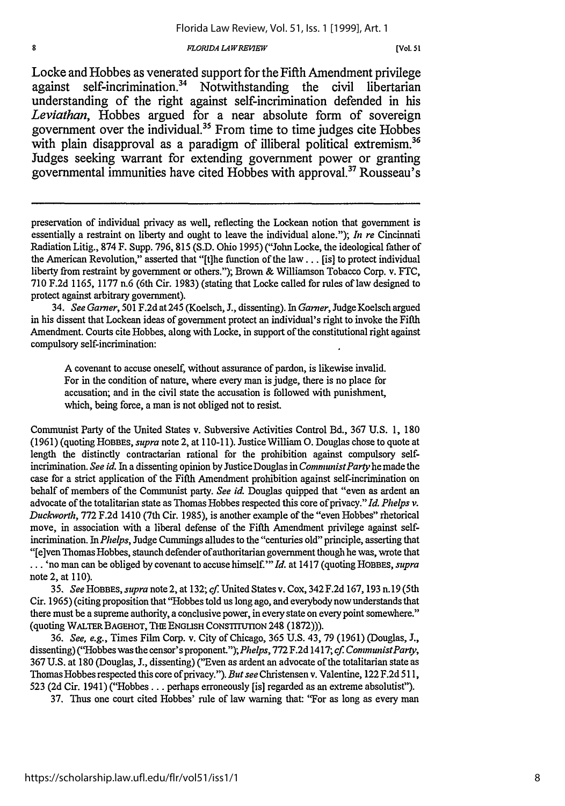#### *FIORIDA LAWRE7EW*

[Vol. **51**

Locke and Hobbes as venerated support for the Fifth Amendment privilege against self-incrimination.<sup>34</sup> Notwithstanding the civil libertarian understanding of the right against self-incrimination defended in his *Leviathan,* Hobbes argued for a near absolute form of sovereign government over the individual. 5 From time to time judges cite Hobbes with plain disapproval as a paradigm of illiberal political extremism.<sup>36</sup> Judges seeking warrant for extending government power or granting governmental immunities have cited Hobbes with approval.<sup>37</sup> Rousseau's

34. *See Garner,* **501** F.2d at 245 (Koelsch, J., dissenting). In *Garner,* Judge Koelsch argued in his dissent that Lockean ideas of government protect an individual's right to invoke the Fifth Amendment. Courts cite Hobbes, along with Locke, in support of the constitutional right against compulsory self-incrimination:

**A** covenant to accuse oneself, without assurance of pardon, is likewise invalid. For in the condition of nature, where every man is judge, there is no place for accusation; and in the civil state the accusation is followed with punishment, which, being force, a man is not obliged not to resist.

Communist Party of the United States v. Subversive Activities Control Bd., **367 U.S. 1, 180** (1961) (quoting HOBBES, *supra* note 2, at 110-11). Justice William **0.** Douglas chose to quote at length the distinctly contractarian rational for the prohibition against compulsory selfincrimination. *See id.* In a dissenting opinion **by** Justice Douglas in *CommunistParty* he made the case for a strict application of the Fifth Amendment prohibition against self-incrimination on behalf of members of the Communist party. *See id.* Douglas quipped that "even as ardent an advocate of the totalitarian state as Thomas Hobbes respected this core of privacy." *Id. Phelps v. Duckworth,* **772 F.2d** 1410 (7th Cir. 1985), is another example of the "even Hobbes" rhetorical move, in association with a liberal defense of the Fifth Amendment privilege against selfincrimination. In *Phelps,* Judge Cumnings alludes to the "centuries old" principle, asserting that "[e]ven Thomas Hobbes, staunch defender of authoritarian government though he was, wrote that **...** 'no man can be obliged **by** covenant to accuse himself."' *Id.* at 1417 (quoting HOBBES, *supra* note 2, at 110).

*35. See HOBBES, supra* note 2, at 132; *cf* United States v. Cox, 342 F.2d 167, 193 n.19 (5th Cir. 1965) (citing proposition that "Hobbes told us long ago, and everybody now understands that there must be a supreme authority, a conclusive power, in every state on every point somewhere." (quoting WALTER BAGEHOT, THE ENGLISH CONSTITUTION 248 (1872))).

36. *See, e.g.,* Times Film Corp. v. City of Chicago, 365 U.S. 43, 79 (1961) (Douglas, J., dissenting) ("Hobbes was the censor's proponent.");Phelps, 772 F.2d 1417; *cf CommunistParty,* 367 U.S. at 180 (Douglas, **J.,** dissenting) ("Even as ardent an advocate of the totalitarian state as Thomas Hobbes respected this core of privacy."). *But see* Christensen v. Valentine, 122 F.2d 511, 523 (2d Cir. 1941) ("Hobbes **...** perhaps erroneously [is] regarded as an extreme absolutist").

37. Thus one court cited Hobbes' rule of law warning that: "For as long as every man

8

preservation of individual privacy as well, reflecting the Lockean notion that government is essentially a restraint on liberty and ought to leave the individual alone."); *In re* Cincinnati Radiation Litig., **874** F. Supp. **796, 815 (S.D.** Ohio 1995) ("John Locke, the ideological father of the American Revolution," asserted that "[t]he function of the law... [is] to protect individual liberty from restraint **by** government or others."); Brown & Williamson Tobacco Corp. v. **FTC, 710 F.2d 1165, 1177** n.6 (6th Cir. **1983)** (stating that Locke called for rules of law designed to protect against arbitrary government).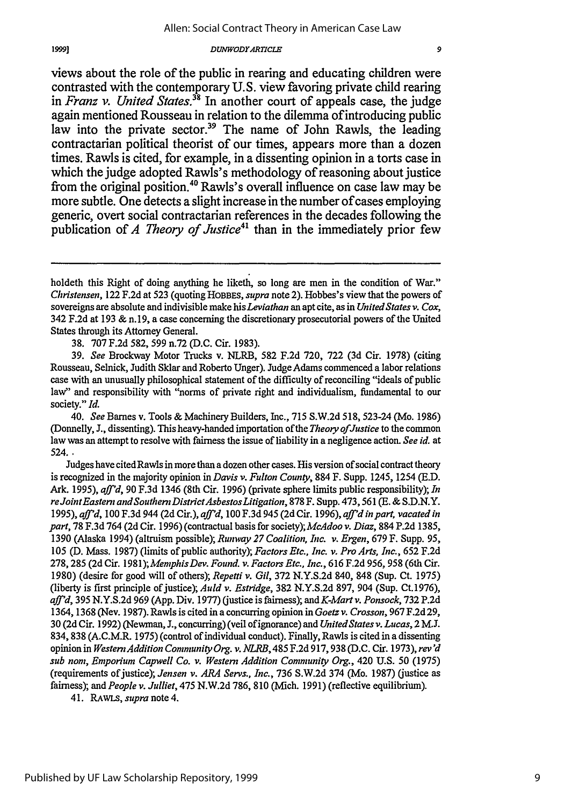views about the role of the public in rearing and educating children were contrasted with the contemporary **U.S.** view favoring private child rearing in *Franz v. United States."8* In another court of appeals case, the judge again mentioned Rousseau in relation to the dilemma of introducing public law into the private sector.<sup>39</sup> The name of John Rawls, the leading contractarian political theorist of our times, appears more than a dozen times. Rawls is cited, for example, in a dissenting opinion in a torts case **in** which the judge adopted Rawls's methodology of reasoning about justice from the original position.<sup>40</sup> Rawls's overall influence on case law may be more subtle. One detects a slight increase in the number of cases employing generic, overt social contractarian references in the decades following the publication of *A Theory of Justice*<sup>41</sup> than in the immediately prior few

38. 707 F.2d 582, 599 n.72 (D.C. Cir. 1983).

39. *See* Brockway Motor Trucks v. NLRB, 582 F.2d 720, 722 (3d Cir. 1978) (citing Rousseau, Selnick, Judith Sklar and Roberto Unger). Judge Adams commenced a labor relations case with an unusually philosophical statement of the difficulty of reconciling "ideals of public law" and responsibility with "norms of private right and individualism, fundamental to our society." *Id.*

40. See Barnes v. Tools & Machinery Builders, Inc., 715 S.W.2d 518, 523-24 (Mo. 1986) (Donnelly, J., dissenting). This heavy-handed importation of the *Theory of Justice* to the common law was an attempt to resolve with fairness the issue of liability in a negligence action. *See id.* at 524. *.*

Judges have cited Rawls in more than a dozen other cases. His version of social contract theory is recognized in the majority opinion in *Davis v. Fulton County,* 884 F. Supp. 1245, 1254 (E.D. Ark. 1995), *affd,* 90 F.3d 1346 (8th Cir. 1996) (private sphere limits public responsibility); *In reJointEastern andSouthernDistrictAsbestosLitigation,* 878 F. Supp. 473,561 (E. & S.D.N.Y. 1995), *aff'd,* 100 F.3d 944 (2d Cir.), *af'd,* 100 F.3d 945 (2d Cir. 1996), *aff'd inpart, vacated in part,* 78 F.3d 764 (2d Cir. 1996) (contractual basis for *society);McAdoo v. Diaz,* 884 P.2d 1385, 1390 (Alaska 1994) (altruism possible); *Runway 27 Coalition, Inc. v. Ergen,* 679 F. Supp. 95, 105 (D. Mass. 1987) (limits of public authority); *Factors Etc., Inc. v. Pro Arts, Inc.,* 652 F.2d 278, 285 (2d Cir. *1981);MemphisDev. Found. v. Factors* Etc., *Inc.,* 616 F.2d 956, 958 (6th Cir. 1980) (desire for good will of others); *Repetti v. Gil,* 372 N.Y.S.2d 840, 848 (Sup. Ct. 1975) (liberty is first principle of justice); *Auld v. Estridge,* 382 N.Y.S.2d 897, 904 (Sup. Ct.1976), *aff'd,* 395 N.Y.S.2d 969 (App. Div. 1977) (justice is fairness); *andK-Martv. Ponsock,* 732 P.2d 1364, 1368 (Nev. 1987). Rawls is cited in a concurring opinion in *Goetzv. Crosson,* 967 F.2d 29, 30 (2d Cir. 1992) (Newman, J., concurring) (veil of ignorance) and *United States v. Lucas,* 2 **M.J.** 834, 838 (A.C.M.R. 1975) (control of individual conduct). Finally, Rawls is cited in a dissenting opinion in *WesternAddition Community Org. v. NLRB,* 485 F.2d 917,938 (D.C. Cir. 1973), rev'd *sub non, Emporium Capwell Co. v. Western Addition Community Org.,* 420 U.S. 50 (1975) (requirements of justice); Jensen *v. ARA* Servs., *Inc.,* 736 S.W.2d 374 (Mo. 1987) (justice as fairness); and *People v. Julliet,* 475 **N.W.2d** 786, 810 (Mich. 1991) (reflective equilibrium).

41. RAWLS, supra note 4.

holdeth this Right of doing anything he liketh, so long are men in the condition of War." Christensen, 122 F.2d at 523 (quoting HOBBES, *supra* note 2). Hobbes's view that the powers of sovereigns are absolute and indivisible make his *Leviathan* an apt cite, as in *United States v. Cox*, 342 F.2d at 193 & n. 19, a case concerning the discretionary prosecutorial powers of the United States through its Attorney General.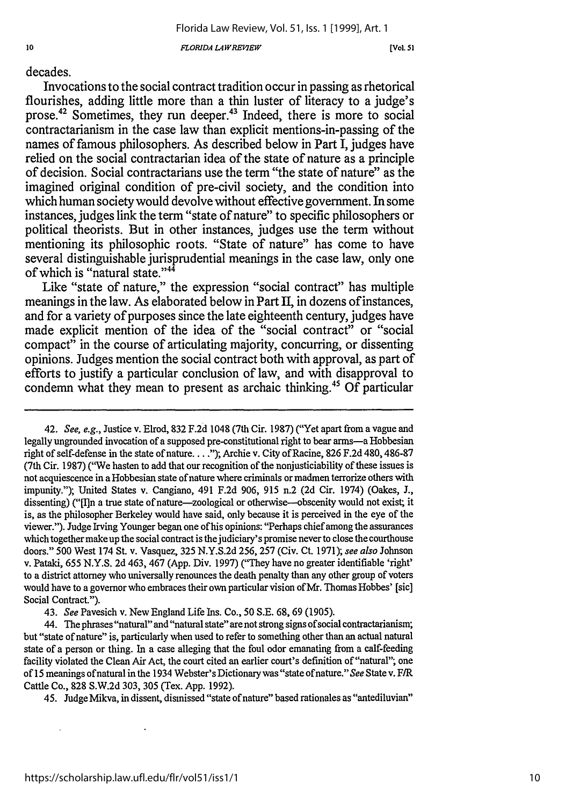*FLORIDA LA WRE'IEW*

[Vol. *51*

decades.

Invocations to the social contract tradition occur in passing as rhetorical flourishes, adding little more than a thin luster of literacy to a judge's prose.<sup>42</sup> Sometimes, they run deeper.<sup>43</sup> Indeed, there is more to social contractarianism in the case law than explicit mentions-in-passing of the names of famous philosophers. As described below in Part **I,** judges have relied on the social contractarian idea of the state of nature as a principle of decision. Social contractarians use the term "the state of nature" as the imagined original condition of pre-civil society, and the condition into which human society would devolve without effective government. In some instances, judges link the term "state of nature" to specific philosophers or political theorists. But in other instances, judges use the term without mentioning its philosophic roots. "State of nature" has come to have several distinguishable jurisprudential meanings in the case law, only one of which is "natural state."<sup>44</sup>

Like "state of nature," the expression "social contract" has multiple meanings in the law. As elaborated below in Part **I,** in dozens of instances, and for a variety of purposes since the late eighteenth century, judges have made explicit mention of the idea of the "social contract" or "social compact<sup>3</sup> in the course of articulating majority, concurring, or dissenting opinions. Judges mention the social contract both with approval, as part of efforts to justify a particular conclusion of law, and with disapproval to condemn what they mean to present as archaic thinking.45 **Of** particular

43. *See* Pavesich v. New England Life Ins. Co., 50 S.E. 68, 69 (1905).

44. The phrases "natural" and "natural state" are not strong signs ofsocial contractarianism; but "state of nature" is, particularly when used to refer to something other than an actual natural state of a person or thing. In a case alleging that the foul odor emanating from a calf-feeding facility violated the Clean Air Act, the court cited an earlier court's definition of "natural"; one of 15 meanings ofnatural in the 1934 Webster's Dictionary was "state ofnature." *See* State v. F/R Cattle Co., 828 S.W.2d 303, 305 (Tex. App. 1992).

45. Judge Mikva, in dissent, dismissed "state ofnature" based rationales as "antediluvian"

<sup>42.</sup> *See, e.g.,* Justice v. Elrod, 832 F.2d 1048 (7th Cir. 1987) ("Yet apart from a vague and legally ungrounded invocation of a supposed pre-constitutional right to bear arms—a Hobbesian right of self-defense in the state of nature **....** ); Archie v. City of Racine, 826 F.2d 480, 486-87 (7th Cir. 1987) ("We hasten to add that our recognition of the nonjusticiability of these issues is not acquiescence in a Hobbesian state of nature where criminals or madmen terrorize others with impunity."); United States v. Cangiano, 491 F.2d 906, 915 n.2 (2d Cir. 1974) (Oakes, J., dissenting) ("Iln a true state of nature—zoological or otherwise—obscenity would not exist; it is, as the philosopher Berkeley would have said, only because it is perceived in the eye of the viewer."). Judge Irving Younger began one of his opinions: "Perhaps chief among the assurances which together make up the social contract is the judiciary's promise never to close the courthouse doors." 500 West 174 St. v. Vasquez, 325 N.Y.S.2d 256, 257 (Civ. Ct. 1971); *see also* Johnson v. Pataki, 655 N.Y.S. 2d 463, 467 (App. Div. 1997) ("They have no greater identifiable 'right' to a district attorney who universally renounces the death penalty than any other group of voters would have to a governor who embraces their own particular vision of Mr. Thomas Hobbes' [sic] Social Contract.").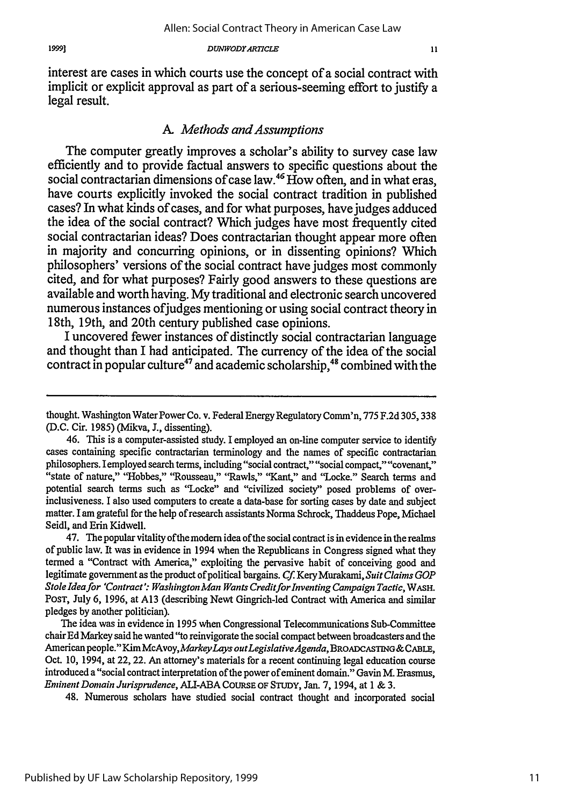interest are cases in which courts use the concept of a social contract with implicit or explicit approval as part of a serious-seeming effort to justify a legal result.

### *A. Methods and Assumptions*

The computer greatly improves a scholar's ability to survey case law efficiently and to provide factual answers to specific questions about the social contractarian dimensions of case law.<sup>46</sup> How often, and in what eras, have courts explicitly invoked the social contract tradition in published cases? In what kinds of cases, and for what purposes, have judges adduced the idea of the social contract? Which judges have most frequently cited social contractarian ideas? Does contractarian thought appear more often in majority and concurring opinions, or in dissenting opinions? Which philosophers' versions of the social contract have judges most commonly cited, and for what purposes? Fairly good answers to these questions are available and worth having. My traditional and electronic search uncovered numerous instances ofjudges mentioning or using social contract theory in 18th, 19th, and 20th century published case opinions.

I uncovered fewer instances of distinctly social contractarian language and thought than I had anticipated. The currency of the idea of the social contract in popular culture<sup>47</sup> and academic scholarship,<sup>48</sup> combined with the

47. The popular vitality ofthe modem idea ofthe social contract is in evidence in the realms of public law. It was in evidence in 1994 when the Republicans in Congress signed what they termed a "Contract with America," exploiting the pervasive habit of conceiving good and legitimate government as the product of political bargains. *Cf* Kery *Murakami, Suit Claims GOP Stole Idea for 'Contract': Washington Man Wants CreditforInventing Campaign Tactic,* WASH. PosT, July 6, 1996, at A13 (describing Newt Gingrich-led Contract with America and similar pledges by another politician).

The idea was in evidence in 1995 when Congressional Telecommunications Sub-Committee chair Ed Markey said he wanted "to reinvigorate the social compact between broadcasters and the American people." *KimMcAvoyMarkeyLays outLegislativeAgenda, BRoADcAsTnG&CABLE,* Oct. 10, 1994, at 22, 22. An attorney's materials for a recent continuing legal education course introduced a "social contract interpretation of the power of eminent domain." Gavin M. Erasmus, *Eminent Domain Jurisprudence,* ALI-ABA CouRsE OF STUDY, Jan. **7, 1994,** at 1 & **3.**

48. Numerous scholars have studied social contract thought and incorporated social

thought. Washington Water Power Co. v. Federal Energy Regulatory Comm'n, 775 F.2d 305, 338 (D.C. Cir. 1985) (Mikva, **J.,** dissenting).

<sup>46.</sup> This is a computer-assisted study. I employed an on-line computer service to identify cases containing specific contractarian terminology and the names of specific contractarian philosophers. I employed search terms, including "social contract," "social compact," "covenant," "state of nature," "Hobbes," "Rousseau," "Rawls," "Kant," and "Locke." Search terms and potential search terms such as "Locke" and "civilized society" posed problems of overinclusiveness. I also used computers to create a data-base for sorting cases by date and subject matter. I am grateful for the help of research assistants Norma Schrock, Thaddeus Pope, Michael Seidl, and Erin Kidwell.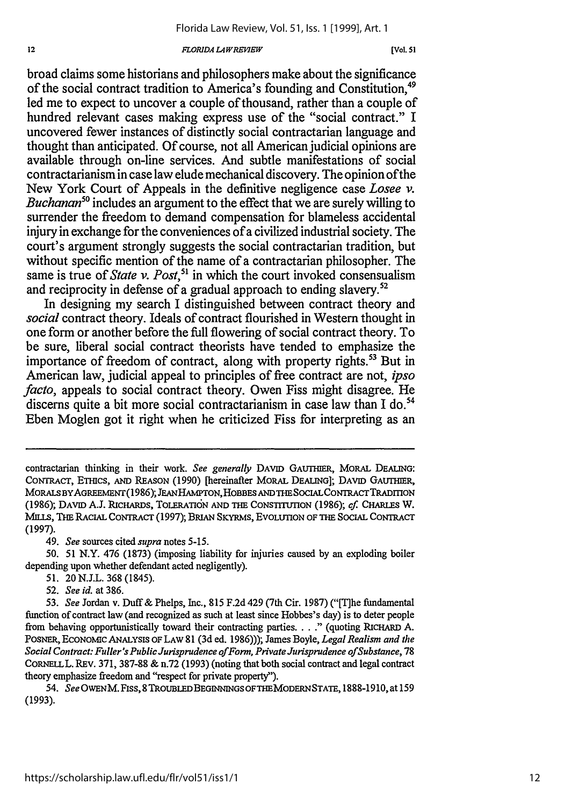#### $FLORIDA$ *LAWREVIEW*

broad claims some historians and philosophers make about the significance of the social contract tradition to America's founding and Constitution.<sup>49</sup> led me to expect to uncover a couple of thousand, rather than a couple of hundred relevant cases making express use of the "social contract." I uncovered fewer instances of distinctly social contractarian language and thought than anticipated. Of course, not all American judicial opinions are available through on-line services. And subtle manifestations of social contractarianism in case law elude mechanical discovery. The opinion of the New York Court of Appeals in the definitive negligence case *Losee v. Buchanan*<sup>50</sup> includes an argument to the effect that we are surely willing to surrender the freedom to demand compensation for blameless accidental injury in exchange for the conveniences of a civilized industrial society. The court's argument strongly suggests the social contractarian tradition, but without specific mention of the name of a contractarian philosopher. The same is true of *State v. Post*,<sup>51</sup> in which the court invoked consensualism and reciprocity in defense of a gradual approach to ending slavery.<sup>52</sup>

In designing my search I distinguished between contract theory and *social* contract theory. Ideals of contract flourished in Western thought in one form or another before the full flowering of social contract theory. To be sure, liberal social contract theorists have tended to emphasize the importance of freedom of contract, along with property rights.<sup>53</sup> But in American law, judicial appeal to principles of free contract are not, *ipso facto*, appeals to social contract theory. Owen Fiss might disagree. He discerns quite a bit more social contractarianism in case law than I do.<sup>54</sup> Eben Moglen got it right when he criticized Fiss for interpreting as an

49. *See* sources cited *supra* notes 5-15.

*50.* 51 N.Y. 476 (1873) (imposing liability for injuries caused by an exploding boiler depending upon whether defendant acted negligently).

- 51. 20N.J.L. 368 (1845).
- 52. *See id.* at 386.

contractarian thinking in their work. *See generally* DAvID GAUTHIER, MORAL DEALING: CONTRACT, *ETHICS,* AND REASON (1990) [hereinafter MORAL **DEALING];** DAVID GALrfHER, MORALS BY AGREEMENT (1986); JEAN HAMPTON, HOBBES AND THE SOCIAL CONTRACT TRADITION (1986); DAVID **AJ.** RICHARDS, TOLERATI6N AND THE CONSTITUTION (1986); *cf.* CHARLES W. MILLS, THE RACIAL CONTRACT (1997); BRIAN SKYRMS, EVOLUTION OF THE SOCIAL **CONTRACT** (1997).

<sup>53.</sup> *See* Jordan v. Duff& Phelps, Inc., 815 F.2d 429 (7th Cir. 1987) ("[T]he fundamental function of contract law (and recognized as such at least since Hobbes's day) is to deter people from behaving opportunistically toward their contracting parties **... ."** (quoting RICHARD A. POSNER, ECONOMIC ANALYSIS OF LAW 81 (3d ed. 1986))); James Boyle, *Legal Realism and the Social Contract: Fuller's Public Jurisprudence ofForm, Private Jurisprudence ofSubstance,* 78 CORNELL. REv. 371, 387-88 & n.72 (1993) (noting that both social contract and legal contract theory emphasize freedom and "respect for private property").

<sup>54.</sup> *See* OWENM. Fiss, **8** TROUBLEDBEGINNNGSOFTHEMODERNSTATE, 1888-1910, at 159 (1993).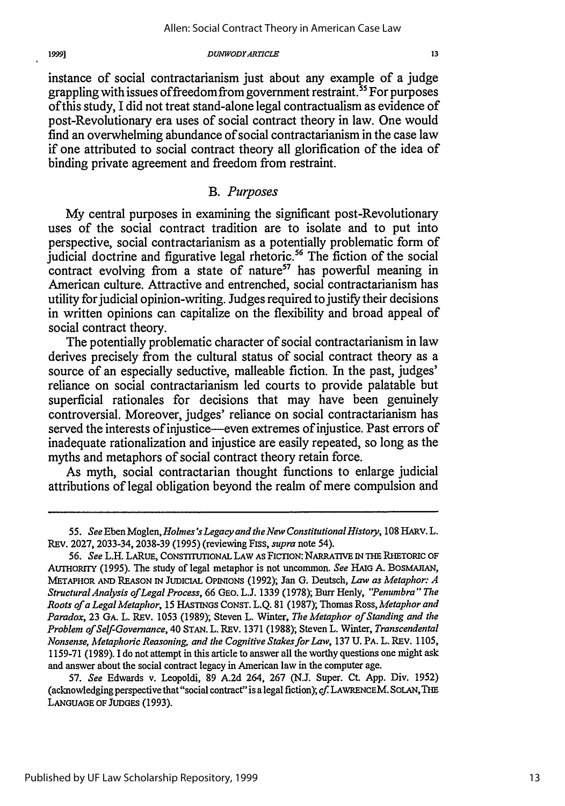instance of social contractarianism just about any example of a judge grappling with issues of freedom from government restraint.<sup>55</sup> For purposes of this study, I did not treat stand-alone legal contractualism as evidence of post-Revolutionary era uses of social contract theory in law. One would find an overwhelming abundance of social contractarianism in the case law if one attributed to social contract theory all glorification of the idea of binding private agreement and freedom from restraint.

# *B. Purposes*

My central purposes in examining the significant post-Revolutionary uses of the social contract tradition are to isolate and to put into perspective, social contractarianism as a potentially problematic form of judicial doctrine and figurative legal rhetoric.<sup>56</sup> The fiction of the social contract evolving from a state of nature<sup>57</sup> has powerful meaning in American culture. Attractive and entrenched, social contractarianism has utility for judicial opinion-writing. Judges required to justify their decisions in written opinions can capitalize on the flexibility and broad appeal of social contract theory.

The potentially problematic character of social contractarianism in law derives precisely from the cultural status of social contract theory as a source of an especially seductive, malleable fiction. In the past, judges' reliance on social contractarianism led courts to provide palatable but superficial rationales for decisions that may have been genuinely controversial. Moreover, judges' reliance on social contractarianism has served the interests of injustice-even extremes of injustice. Past errors of inadequate rationalization and injustice are easily repeated, so long as the myths and metaphors of social contract theory retain force.

As myth, social contractarian thought functions to enlarge judicial attributions of legal obligation beyond the realm of mere compulsion and

19991

*<sup>55.</sup> See* Eben Moglen, *Holmes* 's *Legacy and the New Constitutional History,* 108HARV.L. REv. 2027, 2033-34, 2038-39 (1995) (reviewing Fiss, *supra* note 54).

<sup>56.</sup> *See* L.H. LARuE, CONSTITUTIONAL LAW AS FICTION: NARRATrvE **IN THE** RHETORIC OF AUTHORITY (1995). The study of legal metaphor is not uncommon. *See* **HAIG** A. BOSMAJIAN, METAPHOR **AND** REASON IN JUDICIAL OPINIONS (1992); Jan **G.** Deutsch, *Law as Metaphor: A StructuralAnalysis of Legal Process,* 66 GEO. L.J. 1339 (1978); Burr Henly, *"Penumbra" The Roots ofa LegalMetaphor,* 15 HASTINGS CONST. L.Q. 81 (1987); Thomas *Ross, Metaphor and Paradox,* 23 GA. L. REv. 1053 (1989); Steven L. Winter, *The Metaphor of Standing and the Problem of Self-Governance,* 40 STAN. L. REV. 1371 (1988); Steven L. Winter, *Transcendental Nonsense, Metaphoric Reasoning, and the Cognitive Stakes for Law,* 137 **U.** PA. L. REv. 1105, 1159-71 (1989). I do not attempt in this article to answer all the worthy questions one might ask and answer about the social contract legacy in American law in the computer age.

<sup>57.</sup> *See* Edwards v. Leopoldi, 89 A.2d 264, 267 (N.J. Super. Ct. App. Div. 1952) (acknowledging perspective that"social contract" is a legal fiction); cf. LAWRENCEM. **SOLAN, THE LANGUAGE** OF **JUDGES** (1993).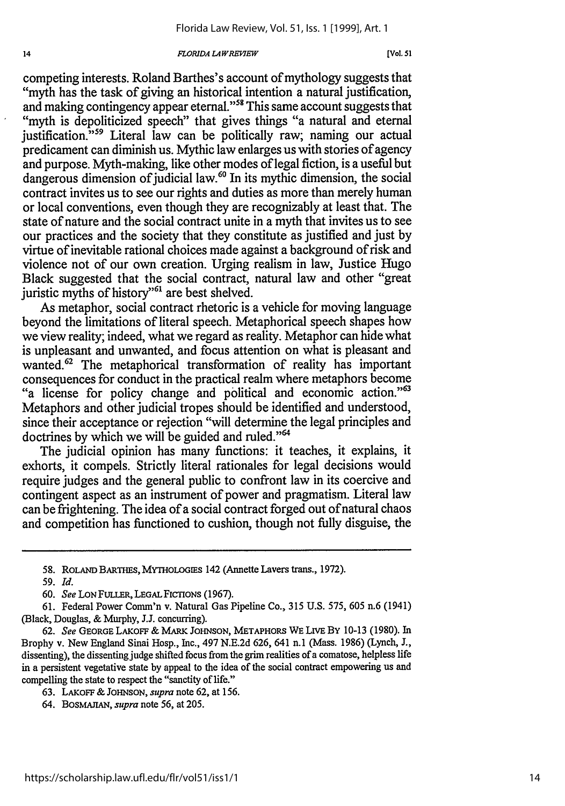#### *FLORIDA L4 WREMVEW*

competing interests. Roland Barthes's account of mythology suggests that "myth has the task of giving an historical intention a natural justification, and making contingency appear eternal."58 This same account suggests that "myth is depoliticized speech" that gives things "a natural and eternal justification."<sup>59</sup> Literal law can be politically raw; naming our actual predicament can diminish us. Mythic law enlarges us with stories of agency and purpose. Myth-making, like other modes of legal fiction, is a useful but dangerous dimension of judicial law.<sup>60</sup> In its mythic dimension, the social contract invites us to see our rights and duties as more than merely human or local conventions, even though they are recognizably at least that. The state of nature and the social contract unite in a myth that invites us to see our practices and the society that they constitute as justified and just by virtue of inevitable rational choices made against a background of risk and violence not of our own creation. Urging realism in law, Justice Hugo Black suggested that the social contract, natural law and other "great juristic myths of history"<sup>61</sup> are best shelved.

As metaphor, social contract rhetoric is a vehicle for moving language beyond the limitations of literal speech. Metaphorical speech shapes how we view reality; indeed, what we regard as reality. Metaphor can hide what is unpleasant and unwanted, and focus attention on what is pleasant and wanted.<sup>62</sup> The metaphorical transformation of reality has important consequences for conduct in the practical realm where metaphors become "a license for policy change and political and economic action."<sup>63</sup> Metaphors and other judicial tropes should be identified and understood, since their acceptance or rejection "will determine the legal principles and doctrines by which we will be guided and ruled."<sup>64</sup>

The judicial opinion has many functions: it teaches, it explains, it exhorts, it compels. Strictly literal rationales for legal decisions would require judges and the general public to confront law in its coercive and contingent aspect as an instrument of power and pragmatism. Literal law can be frightening. The idea of a social contract forged out of natural chaos and competition has functioned to cushion, though not fully disguise, the

 $14$ 

64. BosMAirAN, *supra* note 56, at 205.

**<sup>58.</sup>** ROLAND BARTHES, MYTHOLOGIES 142 (Annette Lavers trans., 1972).

*<sup>59.</sup> Id.*

**<sup>60.</sup>** *See* LON FULLER, LEGALFIcTIONS (1967).

<sup>61.</sup> Federal Power Comm'n v. Natural Gas Pipeline Co., 315 U.S. 575, 605 n.6 (1941) (Black, Douglas, & Murphy, J.J. concurring).

**<sup>62.</sup>** *See* GEORGE LAKOFF & MARK JOHNSON, METAPHORS WE LrvE BY 10-13 (1980). In Brophy v. New England Sinai Hosp., Inc., 497 N.E.2d 626, 641 n.1 (Mass. 1986) (Lynch, J., dissenting), the dissenting judge shifted focus from the grim realities of a comatose, helpless life in a persistent vegetative state by appeal to the idea of the social contract empowering us and compelling the state to respect the "sanctity of life."

<sup>63.</sup> LAKoFF & JOHNSON, *supra* note 62, at 156.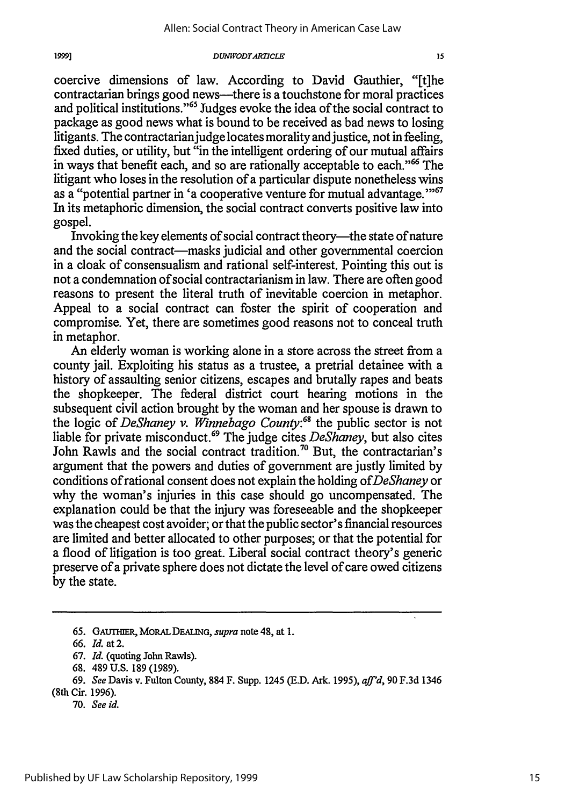coercive dimensions of law. According to David Gauthier, "[t]he contractarian brings good news-there is a touchstone for moral practices and political institutions."<sup>65</sup> Judges evoke the idea of the social contract to package as good news what is bound to be received as bad news to losing litigants. The contractarian judge locates morality and justice, not in feeling, fixed duties, or utility, but "in the intelligent ordering of our mutual affairs in ways that benefit each, and so are rationally acceptable to each."<sup>66</sup> The litigant who loses in the resolution of a particular dispute nonetheless wins as a "potential partner in 'a cooperative venture for mutual advantage."<sup>67</sup> In its metaphoric dimension, the social contract converts positive law into gospel.

Invoking the key elements of social contract theory-the state of nature and the social contract—masks judicial and other governmental coercion in a cloak of consensualism and rational self-interest. Pointing this out is not a condemnation of social contractarianism in law. There are often good reasons to present the literal truth of inevitable coercion in metaphor. Appeal to a social contract can foster the spirit of cooperation and compromise. Yet, there are sometimes good reasons not to conceal truth in metaphor.

An elderly woman is working alone in a store across the street from a county jail. Exploiting his status as a trustee, a pretrial detainee with a history of assaulting senior citizens, escapes and brutally rapes and beats the shopkeeper. The federal district court hearing motions in the subsequent civil action brought by the woman and her spouse is drawn to the logic of *DeShaney v. Winnebago Couny:68* the public sector is not liable for private misconduct. 69 The judge cites *DeShaney,* but also cites John Rawls and the social contract tradition.<sup>70</sup> But, the contractarian's argument that the powers and duties of government are justly limited by conditions of rational consent does not explain the holding *ofDeShaney* or why the woman's injuries in this case should go uncompensated. The explanation could be that the injury was foreseeable and the shopkeeper was the cheapest cost avoider; or that the public sector's financial resources are limited and better allocated to other purposes; or that the potential for a flood of litigation is too great. Liberal social contract theory's generic preserve of a private sphere does not dictate the level of care owed citizens by the state.

**<sup>65.</sup>** GAuTmER, MORALDEAUNG, *supra* note 48, at **1.**

<sup>66.</sup> *Id.* at 2.

<sup>67.</sup> *Id.* (quoting John Rawls).

<sup>68. 489</sup> U.S. 189 (1989).

<sup>69.</sup> *See* Davis v. Fulton County, 884 F. Supp. 1245 (E.D. Ark. 1995), *aff'd,* 90 F.3d 1346

<sup>(8</sup>th Cir. 1996).

**<sup>70.</sup>** *See id.*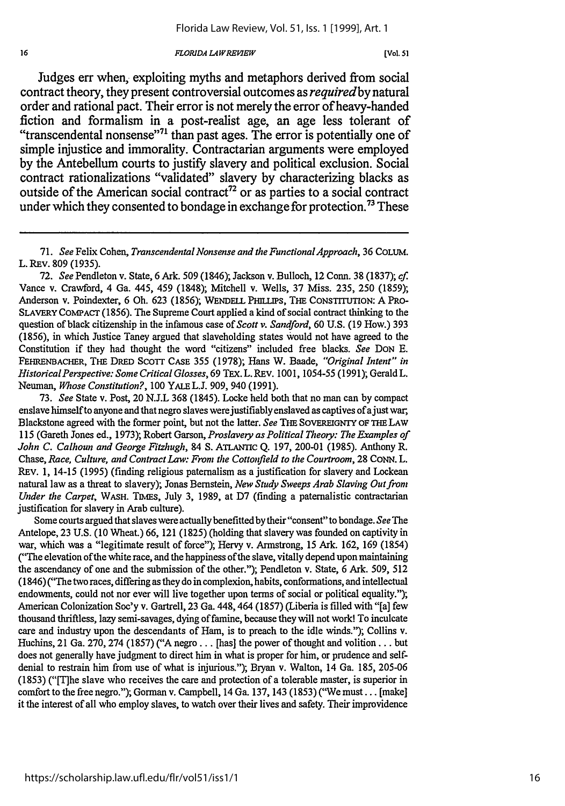#### *FLORIDA LAWRE1IEW*

 $16$ 

Judges err when, exploiting myths and metaphors derived from social contract theory, they present controversial outcomes as *requiredby* natural order and rational pact. Their error is not merely the error of heavy-handed fiction and formalism in a post-realist age, an age less tolerant of "transcendental nonsense"<sup>71</sup> than past ages. The error is potentially one of simple injustice and immorality. Contractarian arguments were employed **by** the Antebellum courts to justify slavery and political exclusion. Social contract rationalizations "validated" slavery **by** characterizing blacks as outside of the American social contract<sup>72</sup> or as parties to a social contract under which they consented to bondage in exchange for protection.<sup>73</sup> These

72. *See* Pendleton v. State, 6 Ark. 509 (1846); Jackson v. Bulloch, 12 Conn. 38 (1837); cf. Vance v. Crawford, 4 Ga. 445, 459 (1848); Mitchell v. Wells, 37 Miss. 235, 250 (1859); Anderson v. Poindexter, 6 Oh. 623 (1856); **WENDELL** PHUJPs, THE CONSTITUTION: A PRo-SLAVERY COMPACT (1856). The Supreme Court applied a kind of social contract thinking to the question of black citizenship in the infamous case of *Scott v. Sandford,* 60 U.S. (19 How.) 393 (1856), in which Justice Taney argued that slaveholding states would not have agreed to the Constitution if they had thought the word "citizens" included free blacks. *See* DON E. FEHRENBACHER, THE DRED SCOTT CASE 355 (1978); Hans W. Baade, "Original Intent" in *HistoricalPerspective: Some Critical Glosses,* 69 TEx. L. REv. 1001, 1054-55 (1991); Gerald L. Neuman, *Whose Constitution?,* 100 YALEL.J. 909, 940 (1991).

73. *See* State v. Post, 20 N.J.L 368 (1845). Locke held both that no man can by compact enslave himself to anyone and that negro slaves were justifiably enslaved as captives of ajust war, Blackstone agreed with the former point, but not the latter. See THE SOVEREIGNTY OF THE LAW 115 (Gareth Jones ed., 1973); Robert Garson, *Proslavery as Political Theory: The Examples of John C. Calhoun and George Fitzhugh,* 84 **S. ATLAImc** Q. 197, 200-01 (1985). Anthony R. Chase, *Race, Culture, and Contract Law: From the Cottonfield to the Courtroom,* 28 CONN. L. **REV.** 1, 14-15 (1995) (finding religious paternalism as a justification for slavery and Lockean natural law as a threat to slavery); Jonas Bernstein, *New Study Sweeps Arab Slaving Out from Under the Carpet,* WASH. TIMES, July 3, 1989, at D7 (finding a paternalistic contractarian justification for slavery in Arab culture).

Some courts argued that slaves were actually benefitted by their "consent" to bondage. *See* The Antelope, 23 U.S. (10 Wheat.) 66, 121 (1825) (holding that slavery was founded on captivity in war, which was a "legitimate result of force"); Hervy v. Armstrong, 15 Ark. 162, 169 (1854) ("The elevation of the white race, and the happiness of the slave, vitally depend upon maintaining the ascendancy of one and the submission of the other."); Pendleton v. State, 6 Ark. 509, 512 (1846) ("The two races, differing as they do in complexion, habits, conformations, and intellectual endowments, could not nor ever will live together upon terms of social or political equality."); American Colonization Soc'y v. Gartrell, 23 Ga. 448,464 (1857) (Liberia is filled with "[a] few thousand thriftless, lazy semi-savages, dying of famine, because they will not work! To inculcate care and industry upon the descendants of Ham, is to preach to the idle winds."); Collins v. Huchins, 21 Ga. 270, 274 (1857) ("A negro... [has] the power of thought and volition... but does not generally have judgment to direct him in what is proper for him, or prudence and selfdenial to restrain him from use of what is injurious."); Bryan v. Walton, 14 Ga. 185, 205-06 (1853) ("[T]he slave who receives the care and protection of a tolerable master, is superior in comfort to the free negro."); Gorman v. Campbell, 14 Ga. 137, 143 (1853) ("We must... [make] it the interest of all who employ slaves, to watch over their lives and safety. Their improvidence

**<sup>71.</sup>** *See* Felix Cohen, *Transcendental Nonsense and the Functional Approach,* 36 COLUM. L. REv. 809 (1935).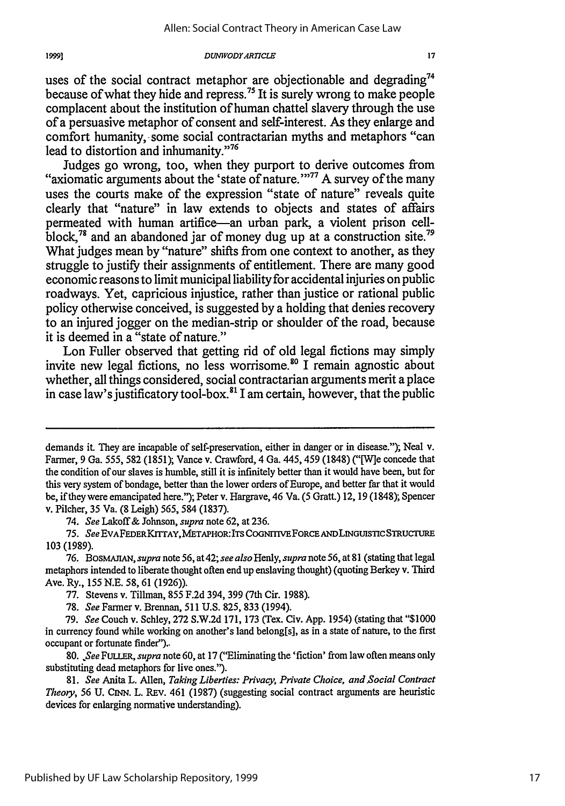#### *DUNIVODYARTCLE*

uses of the social contract metaphor are objectionable and degrading<sup>74</sup> because of what they hide and repress.75 It is surely wrong to make people complacent about the institution of human chattel slavery through the use of a persuasive metaphor of consent and self-interest. As they enlarge and comfort humanity, some social contractarian myths and metaphors "can lead to distortion and inhumanity."<sup>76</sup>

Judges go wrong, too, when they purport to derive outcomes from "axiomatic arguments about the 'state of nature."<sup>77</sup> A survey of the many uses the courts make of the expression "state of nature" reveals quite clearly that "nature" in law extends to objects and states of affairs permeated with human artifice-an urban park, a violent prison cellblock,<sup>78</sup> and an abandoned jar of money dug up at a construction site.<sup>79</sup> What judges mean by "nature" shifts from one context to another, as they struggle to justify their assignments of entitlement. There are many good economic reasons to limit municipal liability for accidental injuries on public roadways. Yet, capricious injustice, rather than justice or rational public policy otherwise conceived, is suggested by a holding that denies recovery to an injured jogger on the median-strip or shoulder of the road, because it is deemed in a "state of nature."

Lon Fuller observed that getting rid of old legal fictions may simply invite new legal fictions, no less worrisome.<sup>80</sup> I remain agnostic about whether, all things considered, social contractarian arguments merit a place in case law's justificatory tool-box.<sup>81</sup> I am certain, however, that the public

74. *See* Lakoff& Johnson, *supra* note 62, at 236.

demands it. They are incapable of self-preservation, either in danger or in disease."); Neal v. Farmer, 9 Ga. 555, 582 (1851); Vance v. Crawford, 4 Ga. 445, 459 (1848) ("[W]e concede that the condition of our slaves is humble, still it is infinitely better than it would have been, but for this very system of bondage, better than the lower orders of Europe, and better far that it would be, if they were emancipated here."); Peter v. Hargrave, 46 Va. (5 Gratt.) 12, 19 (1848); Spencer v. Pilcher, 35 Va. (8 Leigh) 565, 584 (1837).

<sup>75.</sup> *See* **EVAFEDERKrrTAY,METAPHOR:ITS** COGNmrrVEFORCE ANDLINGUISTICSTRUCTURE 103 (1989).

<sup>76.</sup> *BosMAJIAN, supra note 56,* at 42; *see also Henly, supra* note 56, at **81** (stating that legal metaphors intended to liberate thought often end up enslaving thought) (quoting Berkey v. Third Ave. Ry., 155 N.E. 58, 61 (1926)).

<sup>77.</sup> Stevens v. Tillman, 855 F.2d 394, 399 (7th Cir. 1988).

<sup>78.</sup> *See* Farmer v. Brennan, 511 U.S. 825, 833 (1994).

<sup>79.</sup> *See* Couch v. Schley, 272 S.W.2d 171,173 (Tex. Civ. App. 1954) (stating that "\$1000 in currency found while working on another's land belong[s], as in a state of nature, to the first occupant or fortunate finder")..

**<sup>80.</sup>** *See FuuLR, supra* note 60, at 17 ("Eliminating the 'fiction' from law often means only substituting dead metaphors for live ones.").

<sup>81.</sup> *See* Anita L. Allen, *Taking Liberties: Privacy, Private Choice, and Social Contract Theory,* 56 U. *CiNN.* L. REv. 461 (1987) (suggesting social contract arguments are heuristic devices for enlarging normative understanding).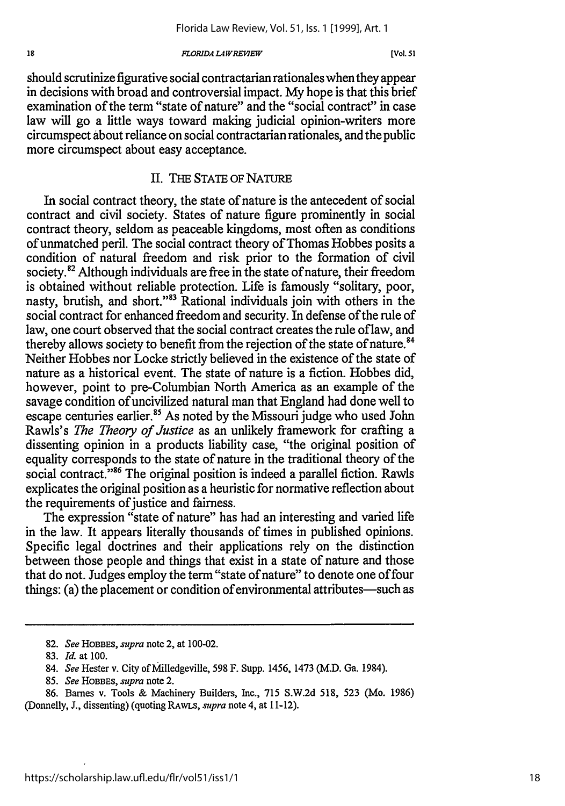#### **FLORIDA LAW REVIEW**

should scrutinize figurative social contractarian rationales when they appear in decisions with broad and controversial impact. My hope is that this brief examination of the term "state of nature" and the "social contract" in case law will go a little ways toward making judicial opinion-writers more circumspect about reliance on social contractarian rationales, and the public more circumspect about easy acceptance.

# II. THE STATE OF NATURE

In social contract theory, the state of nature is the antecedent of social contract and civil society. States of nature figure prominently in social contract theory, seldom as peaceable kingdoms, most often as conditions of unmatched peril. The social contract theory of Thomas Hobbes posits a condition of natural freedom and risk prior to the formation of civil society.<sup>82</sup> Although individuals are free in the state of nature, their freedom is obtained without reliable protection. Life is famously "solitary, poor, nasty, brutish, and short."83 Rational individuals join with others in the social contract for enhanced freedom and security. In defense of the rule of law, one court observed that the social contract creates the rule of law, and thereby allows society to benefit from the rejection of the state of nature.<sup>84</sup> Neither Hobbes nor Locke strictly believed in the existence of the state of nature as a historical event. The state of nature is a fiction. Hobbes did, however, point to pre-Columbian North America as an example of the savage condition of uncivilized natural man that England had done well to escape centuries earlier.<sup>85</sup> As noted by the Missouri judge who used John Rawls's *The Theory of Justice* as an unlikely framework for crafting a dissenting opinion in a products liability case, "the original position of equality corresponds to the state of nature in the traditional theory of the social contract."<sup>86</sup> The original position is indeed a parallel fiction. Rawls explicates the original position as a heuristic for normative reflection about the requirements of justice and fairness.

The expression "state of nature" has had an interesting and varied life in the law. It appears literally thousands of times in published opinions. Specific legal doctrines and their applications rely on the distinction between those people and things that exist in a state of nature and those that do not. Judges employ the term "state of nature" to denote one of four things: (a) the placement or condition of environmental attributes-such as

85. *See* HOBBES, *supra* note 2.

<sup>82.</sup> *See* HOBBES, *supra* note 2, at 100-02.

<sup>83.</sup> *Id.* at 100.

<sup>84.</sup> *See* Hester v. City of Milledgeville, 598 F. Supp. 1456, 1473 (M.D. Ga. 1984).

<sup>86.</sup> Barnes v. Tools & Machinery Builders, Inc., 715 S.W.2d 518, 523 (Mo. 1986) (Donnelly, J., dissenting) (quoting RAWLS, *supra* note 4, at 11-12).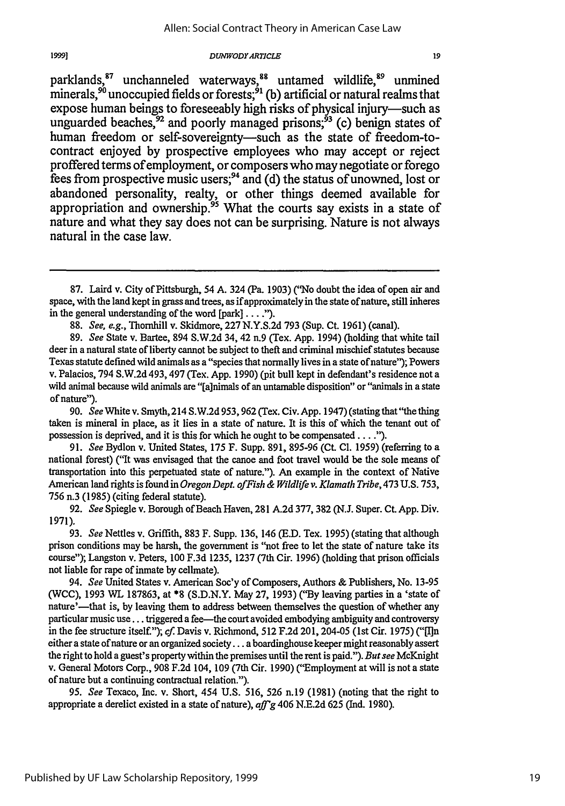parklands, <sup>87</sup> unchanneled waterways, <sup>88</sup> untamed wildlife, <sup>89</sup> unmined minerals,<sup>90</sup> unoccupied fields or forests;<sup>91</sup> (b) artificial or natural realms that expose human beings to foreseeably high risks of physical injury-such as unguarded beaches,<sup>92</sup> and poorly managed prisons;<sup>93</sup> (c) benign states of human freedom or self-sovereignty-such as the state of freedom-tocontract enjoyed **by** prospective employees who may accept or reject proffered terms of employment, or composers who may negotiate or forego fees from prospective music users;94 and **(d)** the status of unowned, lost or abandoned personality, realty, or other things deemed available for appropriation and ownership.<sup>95</sup> What the courts say exists in a state of nature and what they say does not can be surprising. Nature is not always natural in the case law.

90. *See* White v. Smyth, 214 S.W.2d 953,962 (Tex. Civ. App. 1947) (stating that"the thing taken is mineral in place, as it lies in a state of nature. It is this of which the tenant out of possession is deprived, and it is this for which he ought to be compensated **.... ).**

91. *See* Bydlon v. United States, 175 F. Supp. 891, 895-96 (Ct. **Cl.** 1959) (referring to a national forest) ("It was envisaged that the canoe and foot travel would be the sole means of transportation into this perpetuated state of nature."). An example in the context of Native American land rights is found in *Oregon Dept. ofFish & Wildlife v. Klamath Tribe,* 473 U.S. 753, 756 n.3 (1985) (citing federal statute).

92. *See* Spiegle v. Borough of Beach Haven, 281 A.2d 377, 382 (N.J. Super. Ct. App. Div. 1971).

93. *See* Nettles v. Griffith, 883 F. Supp. 136, 146 (E.D. Tex. 1995) (stating that although prison conditions may be harsh, the government is "not free to let the state of nature take its course"); Langston v. Peters, 100 F.3d 1235, 1237 (7th Cir. 1996) (holding that prison officials not liable for rape of inmate by cellmate).

94. *See* United States v. American Soc'y of Composers, Authors & Publishers, No. 13-95 (WCC), 1993 WL 187863, at \*8 (S.D.N.Y. May 27, 1993) ("By leaving parties in a 'state of nature'—that is, by leaving them to address between themselves the question of whether any particular music use... triggered a fee-the court avoided embodying ambiguity and controversy in the fee structure itself."); cf. Davis v. Richmond, 512 F.2d 201, 204-05 (1st Cir. 1975) (" $\Pi$ In either a state of nature or an organized society.., a boardinghouse keeper might reasonably assert the right to hold a guest's property within the premises until the rent is paid."). *But see* McKnight v. General Motors Corp., 908 F.2d 104, 109 (7th Cir. 1990) ("Employment at will is nota state of nature but a continuing contractual relation.").

95. *See* Texaco, Inc. v. Short, 454 U.S. 516, 526 n.19 (1981) (noting that the right to appropriate a derelict existed in a state of nature), *aff'g* 406 N.E.2d 625 (Ind. 1980).

19

<sup>87.</sup> Laird v. City of Pittsburgh, 54 **A.** 324 (Pa. 1903) ("No doubt the idea of open air and space, with the land kept in grass and trees, as ifapproximately in the state of nature, still inheres in the general understanding of the word [park] **... .").**

<sup>88.</sup> *See,* e.g., Thornhill v. Skidmore, 227 N.Y.S.2d 793 (Sup. Ct. 1961) (canal).

<sup>89.</sup> *See* State v. Bartee, 894 S.W.2d 34, 42 n.9 (Tex. App. 1994) (holding that white tail deer in a natural state of liberty cannot be subject to theft and criminal mischief statutes because Texas statute defined wild animals as a "species that normally lives in a state of nature"); Powers v. Palacios, 794 S.W.2d 493, 497 (Tex. App. 1990) (pit bull kept in defendant's residence not a wild animal because wild animals are "[a]nimals of an untamable disposition" or "animals in a state of nature").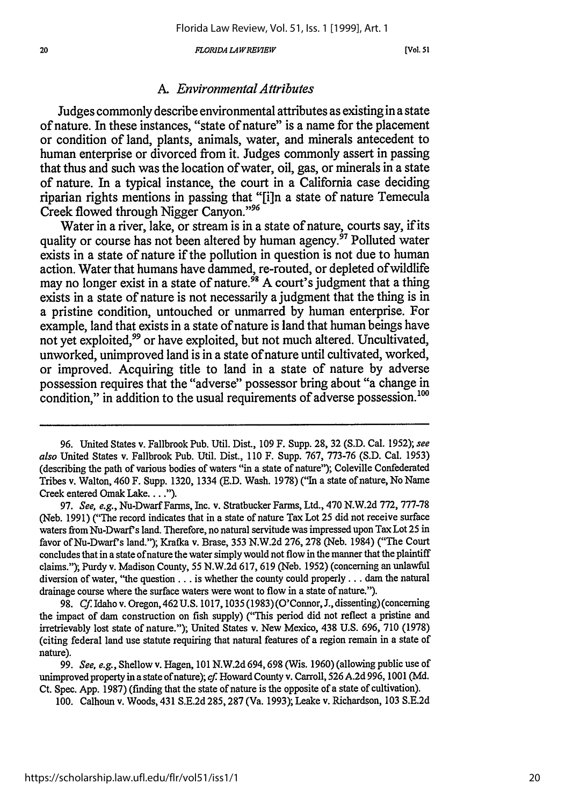*FLORIDA L4WREIEW[.*

[Vol. 51

## *A. Environmental Attributes*

Judges commonly describe environmental attributes as existing in a state of nature. In these instances, "state of nature" is a name for the placement or condition of land, plants, animals, water, and minerals antecedent to human enterprise or divorced from it. Judges commonly assert in passing that thus and such was the location of water, oil, gas, or minerals in a state of nature. In a typical instance, the court in a California case deciding riparian rights mentions in passing that "[i]n a state of nature Temecula Creek flowed through Nigger Canyon."<sup>96</sup>

Water in a river, lake, or stream is in a state of nature, courts say, if its quality or course has not been altered **by** human agency.97 Polluted water exists in a state of nature if the pollution in question is not due to human action. Water that humans have dammed, re-routed, or depleted of wildlife may no longer exist in a state of nature.<sup>98</sup> A court's judgment that a thing exists in a state of nature is not necessarily a judgment that the thing is in a pristine condition, untouched or unmarred **by** human enterprise. For example, land that exists in a state of nature is land that human beings have not yet exploited,<sup>99</sup> or have exploited, but not much altered. Uncultivated, unworked, unimproved land is in a state of nature until cultivated, worked, or improved. Acquiring title to land in a state of nature **by** adverse possession requires that the "adverse" possessor bring about "a change in condition," in addition to the usual requirements of adverse possession.<sup>100</sup>

97. *See, e.g.,* Nu-Dwarf Farms, Inc. v. Stratbucker Farms, Ltd., 470 N.W.2d 772, 777-78 (Neb. 1991) ("The record indicates that in a state of nature Tax Lot 25 did not receive surface waters from Nu-Dwarf s land. Therefore, no natural servitude was impressed upon Tax Lot 25 in favor of Nu-Dwarf's land."); Krafka v. Brase, 353 N.W.2d 276, 278 (Neb. 1984) ("The Court concludes that in a state of nature the water simply would not flow in the manner that the plaintiff claims."); Purdy v. Madison County, 55 N.W.2d 617, 619 (Neb. 1952) (concerning an unlawful diversion of water, "the question **...** is whether the county could properly **...** dam the natural drainage course where the surface waters were wont to flow in a state of nature.").

98. **Cf.** Idaho v. Oregon, 462 U.S. 1017,1035 (1983) (O'Connor, J., dissenting) (concerning the impact of dam construction on fish supply) ("This period did not reflect a pristine and irretrievably lost state of nature."); United States v. New Mexico, 438 U.S. 696, 710 (1978) (citing federal land use statute requiring that natural features of a region remain in a state of nature).

**99.** *See, e.g.,* Shellow v. Hagen, 101 N.W.2d 694,698 (Wis. 1960) (allowing public use of unimproved property in **a** state ofnature); cf Howard County v. Carroll, **526** A.2d **996,** 1001 (Md. Ct. Spec. App. 1987) (finding that the state of nature is the opposite of a state of cultivation).

100. Calhoun v. Woods, 431 S.E.2d 285,287 (Va. 1993); Leake v. Richardson, 103 S.E.2d

<sup>96.</sup> United States v. Fallbrook Pub. Util. Dist., 109 F. Supp. 28, 32 (S.D. Cal. 1952); *see also* United States v. Fallbrook Pub. Util. Dist., 110 F. Supp. 767, 773-76 (S.D. Cal. 1953) (describing the path of various bodies of waters "in a state of nature"); Coleville Confederated Tribes v. Walton, 460 F. Supp. 1320, 1334 (E.D. Wash. 1978) ("In a state of nature, No Name Creek entered Omak Lake. . . .").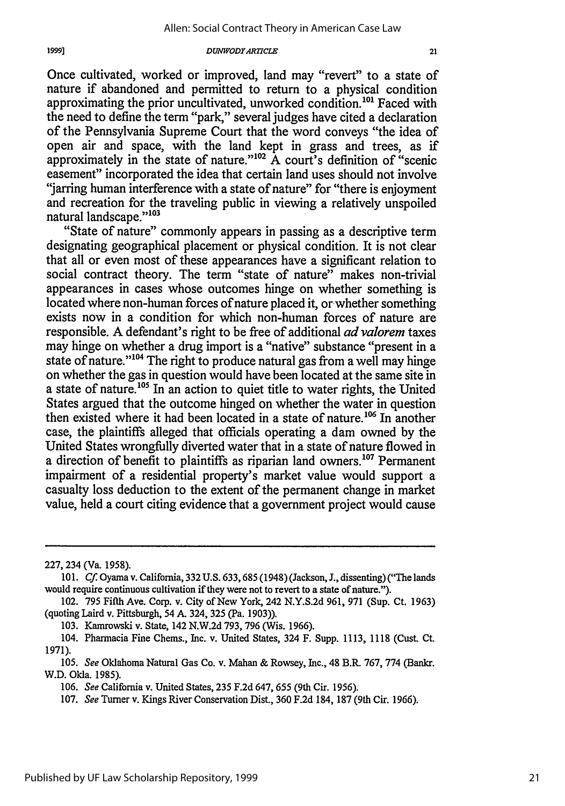Once cultivated, worked or improved, land may "revert" to a state of nature if abandoned and permitted to return to a physical condition approximating the prior uncultivated, unworked condition.<sup>101</sup> Faced with the need to define the term "park," several judges have cited a declaration of the Pennsylvania Supreme Court that the word conveys "the idea of open air and space, with the land kept in grass and trees, as if approximately in the state of nature." $102 \text{ Å}$  court's definition of "scenic easement" incorporated the idea that certain land uses should not involve "jarring human interference with a state of nature" for "there is enjoyment and recreation for the traveling public in viewing a relatively unspoiled natural landscape."<sup>103</sup>

"State of nature" commonly appears in passing as a descriptive term designating geographical placement or physical condition. It is not clear that all or even most of these appearances have a significant relation to social contract theory. The term "state of nature" makes non-trivial appearances in cases whose outcomes hinge on whether something is located where non-human forces of nature placed it, or whether something exists now in a condition for which non-human forces of nature are responsible. A defendant's right to be free of additional *advalorem* taxes may hinge on whether a drug import is a "native" substance "present in a state of nature."<sup>104</sup> The right to produce natural gas from a well may hinge on whether the gas in question would have been located at the same site in a state of nature.<sup>105</sup> In an action to quiet title to water rights, the United States argued that the outcome hinged on whether the water in question then existed where it had been located in a state of nature.<sup>106</sup> In another case, the plaintiffs alleged that officials operating a dam owned by the United States wrongfully diverted water that in a state of nature flowed in a direction of benefit to plaintiffs as riparian land owners.<sup>107</sup> Permanent impairment of a residential property's market value would support a casualty loss deduction to the extent of the permanent change in market value, held a court citing evidence that a government project would cause

1999]

103. Kamrowski v. State, 142 N.W.2d 793, 796 (Wis. 1966).

<sup>227, 234 (</sup>Va. 1958).

<sup>101.</sup> **Cf.** Oyama v. California, **332 U.S.** 633,685 (1948) (Jackson, J., dissenting) ("The lands would require continuous cultivation if they were not to revert to a state of nature.").

<sup>102. 795</sup> Fifth Ave. Corp. v. City of New York, 242 N.Y.S.2d 961, 971 (Sup. Ct. 1963) (quoting Laird v. Pittsburgh, 54 A. 324, 325 (Pa. 1903)).

<sup>104.</sup> Pharmacia Fine Chems., Inc. v. United States, 324 F. Supp. 1113, 1118 (Cust. Ct. 1971).

<sup>105.</sup> See Oklahoma Natural Gas Co. v. Mahan & Rowsey, Inc., 48 B.R. 767, 774 (Bankr. W.D. Okla. 1985).

<sup>106.</sup> See California v. United States, 235 F.2d 647, 655 (9th Cir. 1956).

<sup>107.</sup> See Turner v. Kings River Conservation Dist., 360 F.2d 184, 187 (9th Cir. 1966).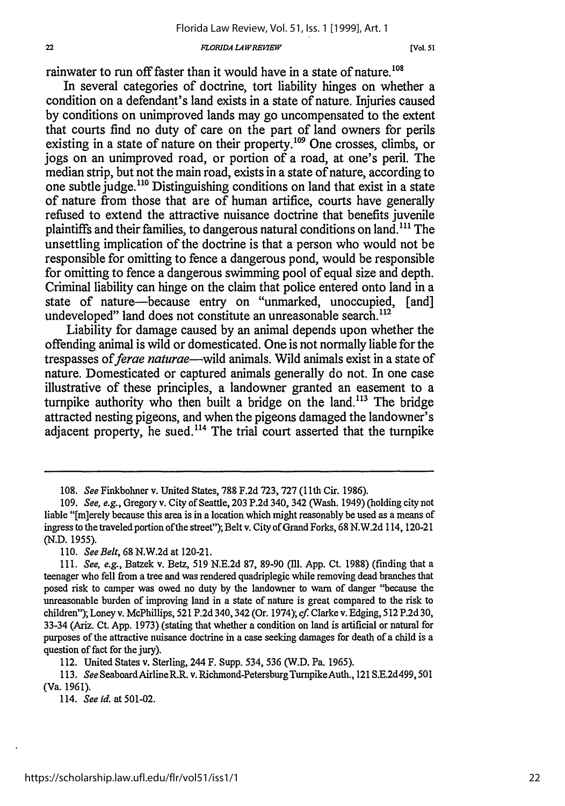#### **FLORIDA LAW REVIEW**

**[Vol. 51**

rainwater to run off faster than it would have in a state of nature.<sup>108</sup>

In several categories of doctrine, tort liability hinges on whether a condition on a defendant's land exists in a state of nature. Injuries caused by conditions on unimproved lands may go uncompensated to the extent that courts find no duty of care on the part of land owners for perils existing in a state of nature on their property.<sup>109</sup> One crosses, climbs, or jogs on an unimproved road, or portion of a road, at one's peril. The median strip, but not the main road, exists in a state of nature, according to one subtle judge.<sup>110</sup> Distinguishing conditions on land that exist in a state of nature from those that are of human artifice, courts have generally refused to extend the attractive nuisance doctrine that benefits juvenile plaintiffs and their families, to dangerous natural conditions on land."' The unsettling implication of the doctrine is that a person who would not be responsible for omitting to fence a dangerous pond, would be responsible for omitting to fence a dangerous swimming pool of equal size and depth. Criminal liability can hinge on the claim that police entered onto land in a state of nature-because entry on "unmarked, unoccupied, [and] undeveloped" land does not constitute an unreasonable search.<sup>112</sup>

Liability for damage caused by an animal depends upon whether the offending animal is wild or domesticated. One is not normally liable for the trespasses of *ferae naturae*—wild animals. Wild animals exist in a state of nature. Domesticated or captured animals generally do not. In one case illustrative of these principles, a landowner granted an easement to a turnpike authority who then built a bridge on the land.<sup>113</sup> The bridge attracted nesting pigeons, and when the pigeons damaged the landowner's adjacent property, he sued.<sup>114</sup> The trial court asserted that the turnpike

110. *See Belt,* 68 N.W.2d at 120-21.

112. United States v. Sterling, 244 F. Supp. 534, 536 (W.D. Pa. 1965).

113. *See* SeaboardAirlineR.R. v. Richmond-PetersburgTumpikeAuth., 121 S.E.2d499, 501 (Va. 1961).

114. *See id.* at 501-02.

<sup>108.</sup> *See* Finkbohner v. United States, 788 F.2d 723, 727 **(1lth** Cir. 1986).

<sup>109.</sup> *See,* e.g., Gregory v. City of Seattle, 203 P.2d 340, 342 (Wash. 1949) (holding city not liable "[mierely because this area is in a location which might reasonably be used as a means of ingress to the traveled portion of the street"); Belt v. City of Grand Forks, 68 N.W.2d 114, 120-21 (N.D. 1955).

<sup>111.</sup> *See, e.g.,* Batzek v. Betz, 519 N.E.2d 87, 89-90 (Ill. App. Ct. 1988) (finding that a teenager who fell from a tree and was rendered quadriplegic while removing dead branches that posed risk to camper was owed no duty by the landowner to warn of danger "because the unreasonable burden of improving land in a state of nature is great compared to the risk to children"); Loney v. McPhillips, 521 P.2d 340, 342 (Or. 1974); *cf.* Clarke v. Edging, 512 P.2d 30, 33-34 (Ariz. Ct. App. 1973) (stating that whether a condition on land is artificial or natural for purposes of the attractive nuisance doctrine in a case seeking damages for death of a child is a question of fact for the jury).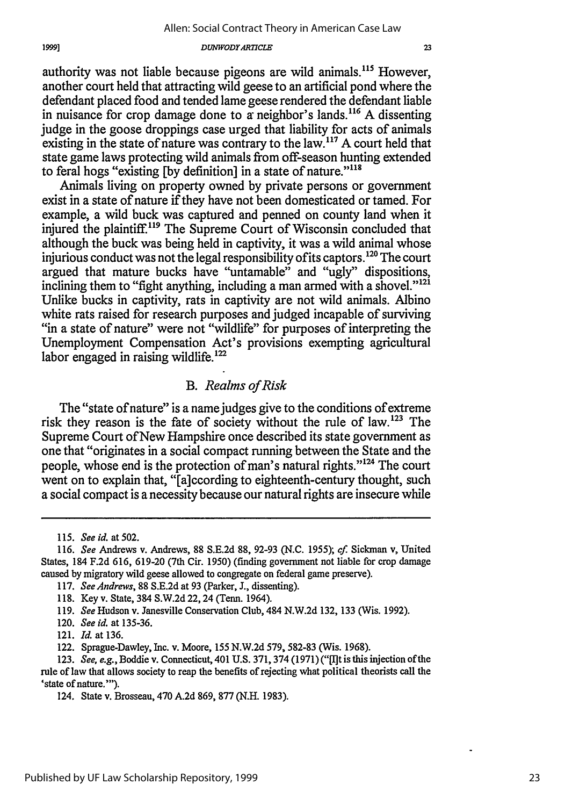authority was not liable because pigeons are wild animals.<sup>115</sup> However, another court held that attracting wild geese to an artificial pond where the defendant placed food and tended lame geese rendered the defendant liable in nuisance for crop damage done to  $\alpha$  neighbor's lands.<sup>116</sup> A dissenting judge in the goose droppings case urged that liability for acts of animals existing in the state of nature was contrary to the law.<sup>117</sup> A court held that state game laws protecting wild animals from off-season hunting extended to feral hogs "existing [by definition] in a state of nature."<sup>118</sup>

Animals living on property owned by private persons or government exist in a state of nature if they have not been domesticated or tamed. For example, a wild buck was captured and penned on county land when it injured the plaintiff.<sup>119</sup> The Supreme Court of Wisconsin concluded that although the buck was being held in captivity, it was a wild animal whose injurious conduct was not the legal responsibility of its captors.<sup>120</sup> The court argued that mature bucks have "untamable" and "ugly" dispositions, inclining them to "fight anything, including a man armed with a shovel."<sup>121</sup> Unlike bucks in captivity, rats in captivity are not wild animals. Albino white rats raised for research purposes and judged incapable of surviving "in a state of nature" were not "wildlife" for purposes of interpreting the Unemployment Compensation Act's provisions exempting agricultural labor engaged in raising wildlife.<sup>122</sup>

## *B. Realms of Risk*

The "state of nature" is a name judges give to the conditions of extreme risk they reason is the fate of society without the rule of law.<sup>123</sup> The Supreme Court of New Hampshire once described its state government as one that "originates in a social compact running between the State and the people, whose end is the protection of man's natural rights."<sup>124</sup> The court went on to explain that, "[a]ccording to eighteenth-century thought, such a social compact is a necessity because our natural rights are insecure while

<sup>115.</sup> *See id.* at 502.

<sup>116.</sup> *See* Andrews v. Andrews, 88 S.E.2d 88, 92-93 (N.C. 1955); *cf.* Sickman v, United States, 184 F.2d 616, 619-20 (7th Cir. 1950) (finding government not liable for crop damage caused by migratory wild geese allowed to congregate on federal game preserve).

<sup>117.</sup> *See Andrews,* 88 S.E.2d at 93 (Parker, J., dissenting).

<sup>118.</sup> Key v. State, 384 S.W.2d 22,24 (Tenn. 1964).

<sup>119.</sup> *See* Hudson v. Janesville Conservation Club, 484 N.W.2d 132, 133 (Wis. 1992).

<sup>120.</sup> *See id.* at 135-36.

<sup>121.</sup> *Id.* at 136.

<sup>122.</sup> Sprague-Dawley, Inc. v. Moore, **155** N.W.2d 579, 582-83 (Wis. 1968).

<sup>123.</sup> *See, e.g.,* Boddie v. Connecticut, 401 U.S. 371,374 (1971) ("[I]t is this injection of the rule of law that allows society to reap the benefits of rejecting what political theorists call the 'state of nature."').

<sup>124.</sup> State v. Brosseau, 470 A.2d 869, 877 (N.H. 1983).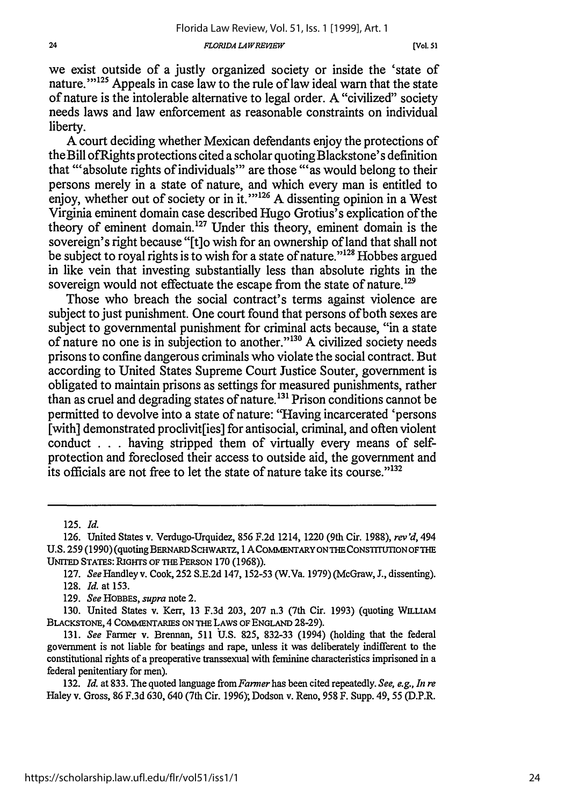*FLORIDA LA IVRBJP'1W*

we exist outside of a justly organized society or inside the 'state of nature."<sup>125</sup> Appeals in case law to the rule of law ideal warn that the state of nature is the intolerable alternative to legal order. A "civilized" society needs laws and law enforcement as reasonable constraints on individual liberty.

A court deciding whether Mexican defendants enjoy the protections of theBill ofRights protections cited a scholar quoting Blackstone's definition that "absolute rights of individuals" are those "'as would belong to their persons merely in a state of nature, and which every man is entitled to enjoy, whether out of society or in it. $1^{126}$  A dissenting opinion in a West Virginia eminent domain case described Hugo Grotius's explication of the theory of eminent domain. 127 Under this theory, eminent domain is the sovereign's right because "[t]o wish for an ownership of land that shall not be subject to royal rights is to wish for a state of nature."<sup>128</sup> Hobbes argued in like vein that investing substantially less than absolute rights in the sovereign would not effectuate the escape from the state of nature.<sup>129</sup>

Those who breach the social contract's terms against violence are subject to just punishment. One court found that persons of both sexes are subject to governmental punishment for criminal acts because, "in a state of nature no one is in subjection to another."<sup>130</sup> A civilized society needs prisons to confine dangerous criminals who violate the social contract. But according to United States Supreme Court Justice Souter, government is obligated to maintain prisons as settings for measured punishments, rather than as cruel and degrading states of nature.<sup>131</sup> Prison conditions cannot be permitted to devolve into a state of nature: "Having incarcerated 'persons [with] demonstrated proclivit[ies] for antisocial, criminal, and often violent conduct . . .having stripped them of virtually every means of selfprotection and foreclosed their access to outside aid, the government and its officials are not free to let the state of nature take its course."<sup>132</sup>

129. *See* HOBBES, *supra* note 2.

130. United States v. Kerr, 13 F.3d 203, 207 n.3 (7th Cir. 1993) (quoting WmLIAM BLACKSTONE, 4 COMMENTARIES ON THE LAWS OF **ENGLAND** 28-29).

131. *See* Farmer v. Brennan, 511 U.S. 825, 832-33 (1994) (holding that the federal government is not liable for beatings and rape, unless it was deliberately indifferent to the constitutional rights of a preoperative transsexual with feminine characteristics imprisoned in a federal penitentiary for men).

132. *Id.* at 833. The quoted language from *Farmer* has been cited repeatedly. *See, e.g., In re* Haley v. Gross, 86 F.3d 630, 640 (7th Cir. 1996); Dodson v. Reno, 958 F. Supp. 49, 55 (D.P.R.

<sup>125.</sup> *Id.*

<sup>126.</sup> United States v. Verdugo-Urquidez, 856 F.2d 1214, 1220 (9th Cir. 1988), rev'd, 494 U.S. 259 (1990) (quoting BERNARD ScHwARTZ, **1** ACOMMENTARYONTHECONSTrTUTIONOFTHE UNITED STATES: **RIGHTS** OF **THE** PERSON 170 (1968)).

<sup>127.</sup> *See* Handley v. Cook, 252 S.E.2d 147, 152-53 (W.Va. 1979) (McGraw, **J.,** dissenting). 128. *Id.* at 153.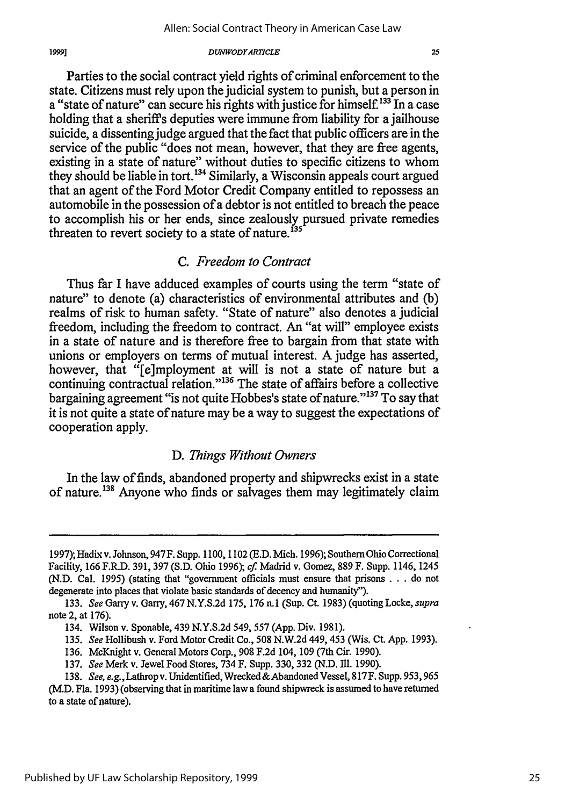Parties to the social contract yield rights of criminal enforcement to the state. Citizens must rely upon the judicial system to punish, but a person in a "state of nature" can secure his rights with justice for himself.<sup>133</sup> In a case holding that a sheriff's deputies were immune from liability for a jailhouse suicide, a dissenting judge argued that the fact that public officers are in the service of the public "does not mean, however, that they are free agents, existing in a state of nature" without duties to specific citizens to whom they should be liable in tort.<sup>134</sup> Similarly, a Wisconsin appeals court argued that an agent of the Ford Motor Credit Company entitled to repossess an automobile in the possession of a debtor is not entitled to breach the peace to accomplish his or her ends, since zealously pursued private remedies threaten to revert society to a state of nature.<sup>135</sup>

### *C. Freedom to Contract*

Thus far I have adduced examples of courts using the term "state of nature" to denote (a) characteristics of environmental attributes and (b) realms of risk to human safety. "State of nature" also denotes a judicial freedom, including the freedom to contract. An "at will" employee exists in a state of nature and is therefore free to bargain from that state with unions or employers on terms of mutual interest. A judge has asserted, however, that "[e]mployment at will is not a state of nature but a continuing contractual relation." 136 The state of affairs before a collective bargaining agreement "is not quite Hobbes's state of nature."<sup>137</sup> To say that it is not quite a state of nature may be a way to suggest the expectations of cooperation apply.

## *D. Things Without Owners*

In the law of finds, abandoned property and shipwrecks exist in a state of nature.<sup>138</sup> Anyone who finds or salvages them may legitimately claim

<sup>1997);</sup> Hadix v. Johnson, 947F. Supp. 1100,1102 (E.D. Mich. 1996); SouthernOhio Correctional Facility, 166 F.R.D. 391, 397 (S.D. Ohio 1996); *cf* Madrid v. Gomez, 889 F. Supp. 1146, 1245 (N.D. Cal. 1995) (stating that "government officials must ensure that prisons . . . do not degenerate into places that violate basic standards of decency and humanity").

<sup>133.</sup> *See* Garry v. Garry, 467 N.Y.S.2d 175, 176 n.1 (Sup. Ct 1983) (quoting Locke, *supra* note 2, at 176).

<sup>134.</sup> Wilson v. Sponable, 439 N.Y.S.2d 549, 557 (App. Div. 1981).

<sup>135.</sup> *See* Hollibush v. Ford Motor Credit Co., 508 N.W.2d 449,453 (Wis. Ct App. 1993).

<sup>136.</sup> McKnight v. General Motors Corp., 908 F.2d 104, 109 (7th Cir. 1990).

<sup>137.</sup> *See* Merk v. Jewel Food Stores, 734 F. Supp. 330, 332 (N.D. **Ill.** 1990).

<sup>138.</sup> See, e.g., Lathrop v. Unidentified, Wrecked & Abandoned Vessel, 817F. Supp. 953, 965 (M.D. Fla. 1993) (observing that in maritime law a found shipwreck is assumed to have returned to a state of nature).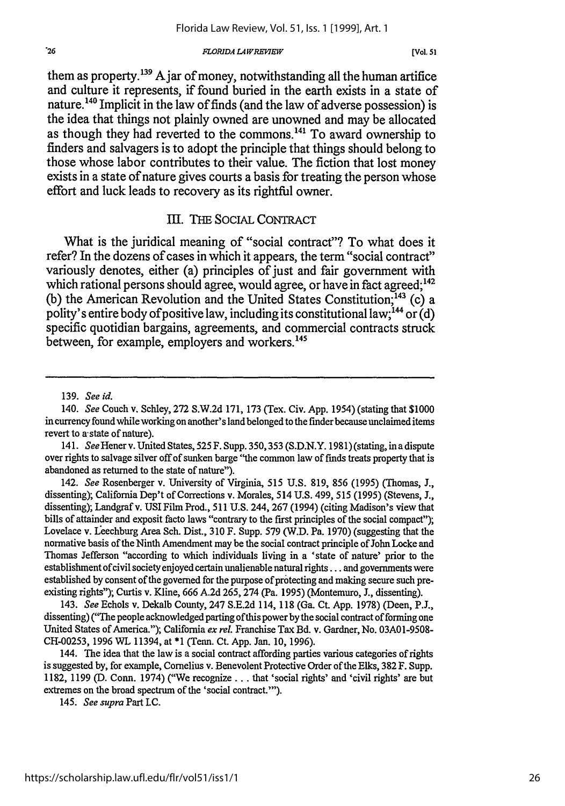#### *FLORIDA LA WREVIEW*

them as property.<sup>139</sup> A jar of money, notwithstanding all the human artifice and culture it represents, if found buried in the earth exists in a state of nature.<sup>140</sup> Implicit in the law of finds (and the law of adverse possession) is the idea that things not plainly owned are unowned and may be allocated as though they had reverted to the commons.<sup>141</sup> To award ownership to finders and salvagers is to adopt the principle that things should belong to those whose labor contributes to their value. The fiction that lost money exists in a state of nature gives courts a basis for treating the person whose effort and luck leads to recovery as its rightful owner.

### III. ThE SOCIAL CONTRACT

What is the juridical meaning of "social contract"? To what does it refer? In the dozens of cases in which it appears, the term "social contract" variously denotes, either (a) principles of just and fair government with which rational persons should agree, would agree, or have in fact agreed;<sup>142</sup> (b) the American Revolution and the United States Constitution.<sup>143</sup> (c) a polity's entire body of positive law, including its constitutional law;  $^{144}$  or (d) specific quotidian bargains, agreements, and commercial contracts struck between, for example, employers and workers.<sup>145</sup>

<sup>139.</sup> *See id.*

<sup>140.</sup> *See* Couch v. Schley, 272 S.W.2d 171, 173 (Tex. Civ. App. 1954) (stating that \$1000 in currency found while working on another's land belonged to the finder because unclaimed items revert to a state of nature).

<sup>141.</sup> *See* Hener v. United States, 525 F. Supp. 350,353 (S.D.N.Y. 1981) (stating, in a dispute over rights to salvage silver off of sunken barge "the common law of finds treats property that is abandoned as returned to the state of nature").

<sup>142.</sup> *See* Rosenberger v. University of Virginia, 515 U.S. 819, 856 (1995) (Thomas, **J.,** dissenting); California Dep't of Corrections v. Morales, 514 U.S. 499, 515 (1995) (Stevens, J., dissenting); Landgraf v. USI Film Prod., 511 U.S. 244, 267 (1994) (citing Madison's view that bills of attainder and exposit facto laws "contrary to the first principles of the social compact"); Lovelace v. Leechburg Area Sch. Dist., 310 F. Supp. 579 (W.D. Pa. 1970) (suggesting that the normative basis of the Ninth Amendment may be the social contract principle of John Locke and Thomas Jefferson "according to which individuals living in a 'state of nature' prior to the establishment of civil society enjoyed certain unalienable natural rights... and governments were established by consent of the governed for the purpose of protecting and making secure such preexisting rights"); Curtis v. Kline, 666 A.2d 265, 274 (Pa. 1995) (Montemuro, **J.,** dissenting).

<sup>143.</sup> *See* Echols v. Dekalb County, 247 S.E.2d 114, 118 (Ga. Ct. App. 1978) (Deen, P.J., dissenting) ("The people acknowledged parting of this power by the social contract of forming one United States of America."); California *ex rel.* Franchise Tax Bd. v. Gardner, No. 03A01-9508- CH-00253, 1996 WL 11394, at \*1 (Tenn. Ct. App. Jan. **10,** 1996).

<sup>144.</sup> The idea that the law is a social contract affording parties various categories of rights is suggested by, for example, Cornelius v. Benevolent Protective Order of the Elks, 382 F. Supp. 1182, 1199 (D. Conn. 1974) ("We recognize... that 'social rights' and 'civil rights' are but extremes on the broad spectrum of the 'social contract."').

*<sup>145.</sup> See supra* Part *I.e.*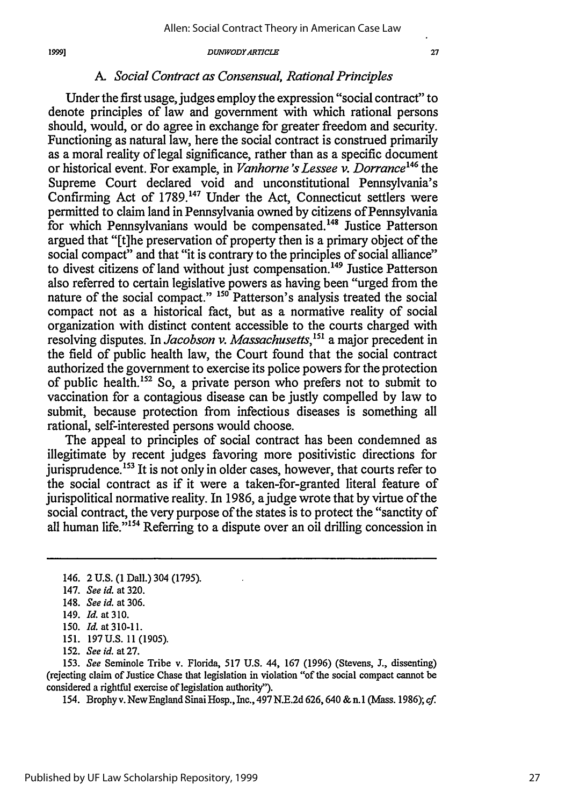#### 19991

#### *DUNWODYARTICLE*

# *A. Social Contract as Consensual, Rational Principles*

Under the first usage, judges employ the expression "social contract" to denote principles of law and government with which rational persons should, would, or do agree in exchange for greater freedom and security. Functioning as natural law, here the social contract is construed primarily as a moral reality of legal significance, rather than as a specific document or historical event. For example, in *Vanhorne 's Lessee v. Dorrance'"* the Supreme Court declared void and unconstitutional Pennsylvania's Confirming Act of 1789.<sup>147</sup> Under the Act, Connecticut settlers were permitted to claim land in Pennsylvania owned by citizens of Pennsylvania for which Pennsylvanians would be compensated.<sup>148</sup> Justice Patterson argued that "[t]he preservation of property then is a primary object of the social compact" and that "it is contrary to the principles of social alliance" to divest citizens of land without just compensation.<sup>149</sup> Justice Patterson also referred to certain legislative powers as having been "urged from the nature of the social compact." **150** Patterson's analysis treated the social compact not as a historical fact, but as a normative reality of social organization with distinct content accessible to the courts charged with resolving disputes. In *Jacobson v. Massachusetts,'5'* a major precedent in the field of public health law, the Court found that the social contract authorized the government to exercise its police powers for the protection of public health.'52 So, a private person who prefers not to submit to vaccination for a contagious disease can be justly compelled by law to submit, because protection from infectious diseases is something all rational, self-interested persons would choose.

The appeal to principles of social contract has been condemned as illegitimate by recent judges favoring more positivistic directions for jurisprudence.<sup>153</sup> It is not only in older cases, however, that courts refer to the social contract as if it were a taken-for-granted literal feature of jurispolitical normative reality. In 1986, ajudge wrote that by virtue of the social contract, the very purpose of the states is to protect the "sanctity of all human life."<sup>154</sup> Referring to a dispute over an oil drilling concession in

153. *See* Seminole Tribe v. Florida, 517 U.S. 44, 167 (1996) (Stevens, **J.,** dissenting) (rejecting claim of Justice Chase that legislation in violation "of the social compact cannot be considered a rightful exercise of legislation authority").

154. Brophy v. New England Sinai Hosp., Inc., 497 N.E.2d 626, 640 & n.1 (Mass. 1986); cf.

<sup>146. 2</sup> U.S. (1 Dall.) 304 (1795).

<sup>147.</sup> *See id.* at 320.

<sup>148.</sup> *See id.* at 306.

<sup>149.</sup> Id. at 310.

<sup>150.</sup> *Id.* at 310-11.

<sup>151. 197</sup> U.S. 11 (1905).

<sup>152.</sup> *See id.* at 27.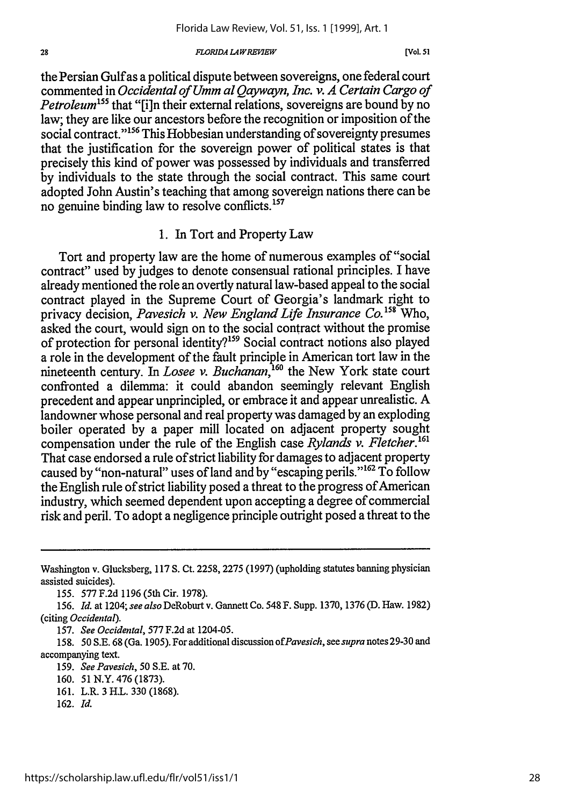#### **FLORIDA LAW REVIEW**

[Vol. *51*

the Persian Gulf as a political dispute between sovereigns, one federal court commented in *Occidental of Umm al Qaywayn, Inc. v. A Certain Cargo of Petroleum*<sup>155</sup> that "[i]n their external relations, sovereigns are bound by no law; they are like our ancestors before the recognition or imposition of the social contract."<sup>156</sup> This Hobbesian understanding of sovereignty presumes that the justification for the sovereign power of political states is that precisely this kind of power was possessed by individuals and transferred by individuals to the state through the social contract. This same court adopted John Austin's teaching that among sovereign nations there can be no genuine binding law to resolve conflicts.<sup>157</sup>

### 1. In Tort and Property Law

Tort and property law are the home of numerous examples of "social contract" used by judges to denote consensual rational principles. I have already mentioned the role an overtly natural law-based appeal to the social contract played in the Supreme Court of Georgia's landmark right to privacy decision, *Pavesich v. New England Life Insurance Co.*<sup>158</sup> Who, asked the court, would sign on to the social contract without the promise of protection for personal identity?'59 Social contract notions also played a role in the development of the fault principle in American tort law in the nineteenth century. In *Losee v. Buchanan*,<sup>160</sup> the New York state court confronted a dilemma: it could abandon seemingly relevant English precedent and appear unprincipled, or embrace it and appear unrealistic. A landowner whose personal and real property was damaged by an exploding boiler operated by a paper mill located on adjacent property sought compensation under the rule of the English case *Rylands v. Fletcher.'* That case endorsed a rule of strict liability for damages to adjacent property caused by "non-natural" uses of land and by "escaping perils."<sup>162</sup> To follow the English rule of strict liability posed a threat to the progress of American industry, which seemed dependent upon accepting a degree of commercial risk and peril. To adopt a negligence principle outright posed a threat to the

155. 577 F.2d 1196 (5th Cir. 1978).

156. *Id.* at 1204; see *also* DeRoburt v. Gannett Co. 548 F. Supp. 1370, 1376 (D. Haw. 1982) (citing *Occidental).*

157. *See Occidental,* 577 F.2d at 1204-05.

158. 50 S.E. 68 (Ga. 1905). For additional discussion *ofPavesich, seesupranotes29-30* and accompanying text.

159. *See Pavesich,* 50 S.E. at 70.

- 161. L.R. 3 H.L. 330 (1868).
- 162. *Id.*

28

Washington v. Glucksberg, 117 S. Ct. 2258, 2275 (1997) (upholding statutes banning physician assisted suicides).

<sup>160. 51</sup> N.Y. 476 (1873).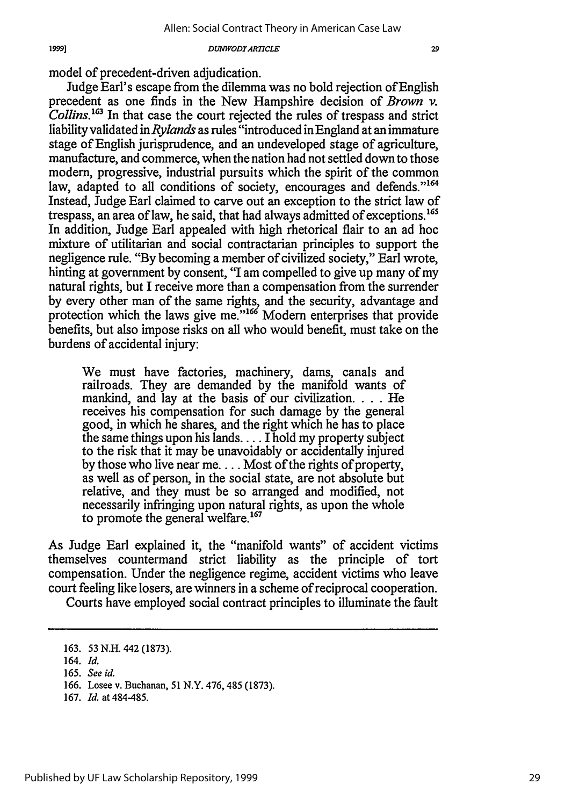model of precedent-driven adjudication.

Judge Earl's escape from the dilemma was no bold rejection ofEnglish precedent as one finds in the New Hampshire decision of *Brown v. Collins.163* In that case the court rejected the rules of trespass and strict liability validated *inRylands* as rules "introduced inEngland at an immature stage of English jurisprudence, and an undeveloped stage of agriculture, manufacture, and commerce, when the nation had not settled down to those modern, progressive, industrial pursuits which the spirit of the common law, adapted to all conditions of society, encourages and defends."<sup>164</sup> Instead, Judge Earl claimed to carve out an exception to the strict law of trespass, an area of law, he said, that had always admitted of exceptions.165 In addition, Judge Earl appealed with high rhetorical flair to an ad hoc mixture of utilitarian and social contractarian principles to support the negligence rule. "By becoming a member of civilized society," Earl wrote, hinting at government by consent, "I am compelled to give up many of my natural rights, but I receive more than a compensation from the surrender by every other man of the same rights, and the security, advantage and protection which the laws give me."<sup>166</sup> Modern enterprises that provide benefits, but also impose risks on all who would benefit, must take on the burdens of accidental injury:

We must have factories, machinery, dams, canals and railroads. They are demanded by the manifold wants of mankind, and lay at the basis of our civilization. . **.** . He receives his compensation for such damage by the general good, in which he shares, and the right which he has to place the same things upon his lands.... I hold my property subject to the risk that it may be unavoidably or accidentally injured by those who live near me.... Most of the rights of property, as well as of person, in the social state, are not absolute but relative, and they must be so arranged and modified, not necessarily infringing upon natural rights, as upon the whole to promote the general welfare. $167$ 

As Judge Earl explained it, the "manifold wants" of accident victims themselves countermand strict liability as the principle of tort compensation. Under the negligence regime, accident victims who leave court feeling like losers, are winners in a scheme of reciprocal cooperation.

Courts have employed social contract principles to illuminate the fault

167. *Id.* at 484-485.

<sup>163. 53</sup> N.H. 442 (1873).

<sup>164.</sup> *Id.*

<sup>165.</sup> *See id.*

<sup>166.</sup> Losee v. Buchanan, 51 N.Y. 476, 485 (1873).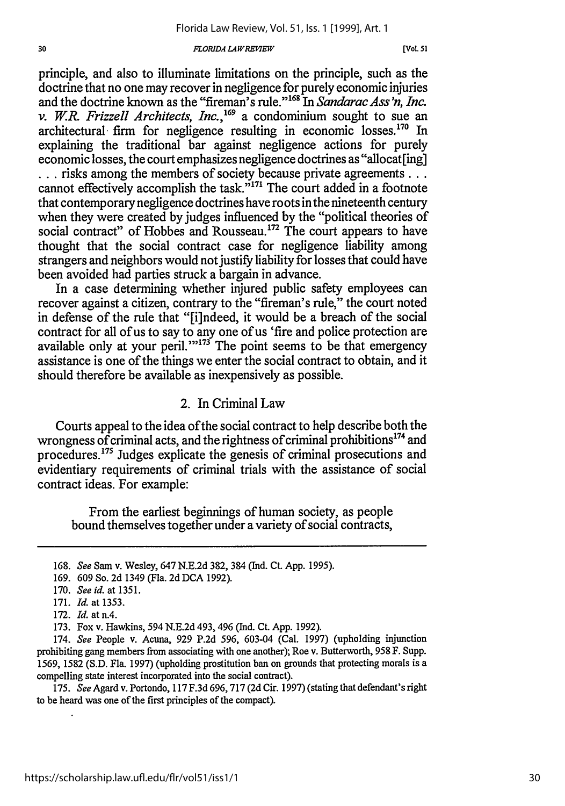#### **FLORIDA LAW REVIEW**

[Vol. 51

principle, and also to illuminate limitations on the principle, such as the doctrine that no one may recover in negligence for purely economic injuries and the doctrine known as the "fireman's rule."<sup>168</sup> In *Sandarac Ass'n, Inc. v. W.R. Frizzell Architects, Inc.*,<sup>169</sup> a condominium sought to sue an architectural firm for negligence resulting in economic losses.<sup>170</sup> In explaining the traditional bar against negligence actions for purely economic losses, the court emphasizes negligence doctrines as "allocat[ing] **...** risks among the members of society because private agreements... cannot effectively accomplish the task."<sup>171</sup> The court added in a footnote that contemporary negligence doctrines have roots in the nineteenth century when they were created by judges influenced by the "political theories of social contract" of Hobbes and Rousseau.<sup>172</sup> The court appears to have thought that the social contract case for negligence liability among strangers and neighbors would not justify liability for losses that could have been avoided had parties struck a bargain in advance.

In a case determining whether injured public safety employees can recover against a citizen, contrary to the "fireman's rule," the court noted in defense of the rule that "[i]ndeed, it would be a breach of the social contract for all of us to say to any one of us 'fire and police protection are available only at your peril." $1^{37}$  The point seems to be that emergency assistance is one of the things we enter the social contract to obtain, and it should therefore be available as inexpensively as possible.

# 2. In Criminal Law

Courts appeal to the idea of the social contract to help describe both the wrongness of criminal acts, and the rightness of criminal prohibitions<sup>174</sup> and procedures.'75 Judges explicate the genesis of criminal prosecutions and evidentiary requirements of criminal trials with the assistance of social contract ideas. For example:

From the earliest beginnings of human society, as people bound themselves together under a variety of social contracts,

175. *See* Agard v. Portondo, 117 F.3d 696,717 (2d Cir. 1997) (stating that defendant's right to be heard was one of the first principles of the compact).

<sup>168.</sup> *See* Sam v. Wesley, 647 N.E.2d 382, 384 (Ind. Ct. App. 1995).

<sup>169. 609</sup> So. 2d 1349 (Fla. 2d DCA 1992).

<sup>170.</sup> *See id.* at 1351.

<sup>171.</sup> *Id.* at 1353.

<sup>172.</sup> *Id.* atn.4.

<sup>173.</sup> Fox v. Hawkins, 594 N.E.2d 493, 496 (Ind. Ct. App. 1992).

<sup>174.</sup> *See* People v. Acuna, 929 P.2d 596, 603-04 (Cal. 1997) (upholding injunction prohibiting gang members from associating with one another); Roe v. Butterworth, 958 F. Supp. 1569, 1582 (S.D. Fla. 1997) (upholding prostitution ban on grounds that protecting morals is a compelling state interest incorporated into the social contract).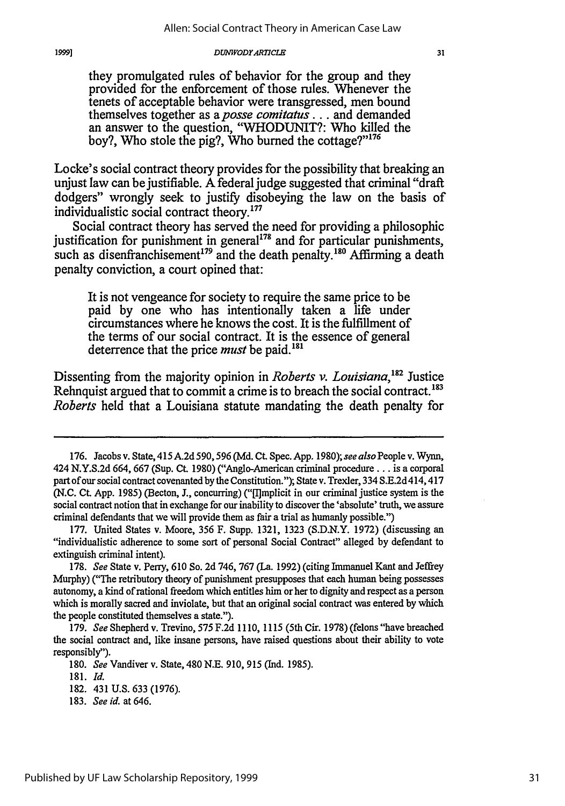#### *DUWIVODYARTICLE*

they promulgated rules of behavior for the group and they provided for the enforcement of those rules. Whenever the tenets of acceptable behavior were transgressed, men bound themselves together as *aposse comitatus...* and demanded an answer to the question, "WHODUNIT?: Who killed the boy?, Who stole the pig?, Who burned the cottage?" $176$ 

Locke's social contract theory provides for the possibility that breaking an unjust law can be justifiable. A federal judge suggested that criminal "draft dodgers" wrongly seek to justify disobeying the law on the basis of individualistic social contract theory.177

Social contract theory has served the need for providing a philosophic justification for punishment in general $178$  and for particular punishments, such as disenfranchisement<sup>179</sup> and the death penalty.<sup>180</sup> Affirming a death penalty conviction, a court opined that:

It is not vengeance for society to require the same price to be paid by one who has intentionally taken a life under circumstances where he knows the cost. It is the fulfillment of the terms of our social contract. It is the essence of general deterrence that the price *must* be paid.'

Dissenting from the majority opinion in *Roberts v. Louisiana*,<sup>182</sup> Justice Rehnquist argued that to commit a crime is to breach the social contract.<sup>183</sup> *Roberts* held that a Louisiana statute mandating the death penalty for

19991

<sup>176.</sup> Jacobs v. State, 415 A.2d 590, 596 (Md. Ct. Spec. App. 1980); *see also* People v. Wynn, 424 N.Y.S.2d 664, 667 (Sup. Ct. 1980) ("Anglo-American criminal procedure... is a corporal part of our social contract covenanted by the Constitution."); State v. Trexler, 334 S.E.2d 414,417 (N.C. **CL** App. 1985) (Becton, J., concurring) ("[l]mplicit in our criminal justice system is the social contract notion that in exchange for our inability to discover the 'absolute' truth, we assure criminal defendants that we will provide them as fair a trial as humanly possible.")

<sup>177.</sup> United States v. Moore, 356 F. Supp. 1321, 1323 (S.D.N.Y. 1972) (discussing an "individualistic adherence to some sort of personal Social Contract" alleged by defendant to extinguish criminal intent).

<sup>178.</sup> *See* State v. Perry, 610 So. 2d 746, 767 (La. 1992) (citing Immanuel Kant and Jeffrey Murphy) ("The retributory theory of punishment presupposes that each human being possesses autonomy, a kind of rational freedom which entitles him or her to dignity and respect as a person which is morally sacred and inviolate, but that an original social contract was entered by which the people constituted themselves a state.").

<sup>179.</sup> *See* Shepherd v. Trevino, 575 F.2d 1110, 1115 (5th Cir. 1978) (felons "have breached the social contract and, like insane persons, have raised questions about their ability to vote responsibly").

<sup>180.</sup> *See* Vandiver v. State, 480 N.E. 910, 915 (Ind. 1985).

<sup>181.</sup> *Id.*

<sup>182. 431</sup> U.S. 633 (1976).

<sup>183.</sup> *See id.* at 646.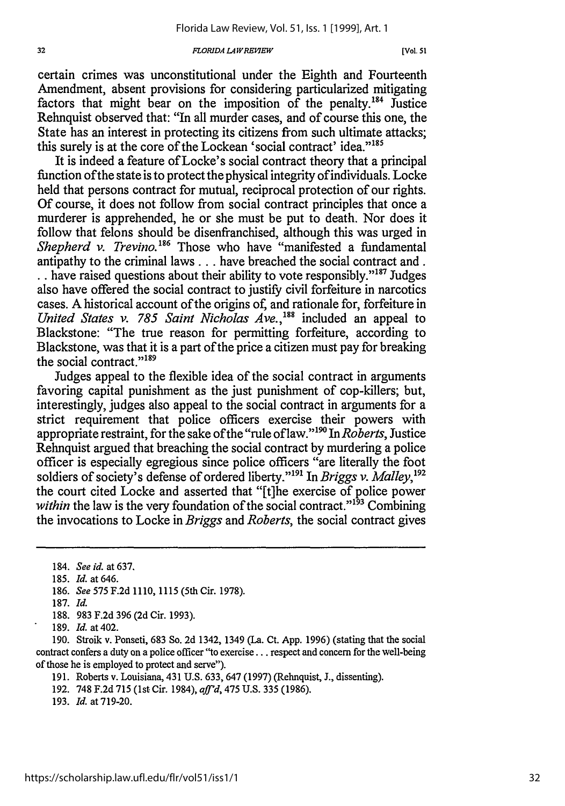#### *FORIDA L4WREKEW*

certain crimes was unconstitutional under the Eighth and Fourteenth Amendment, absent provisions for considering particularized mitigating factors that might bear on the imposition of the penalty.<sup>184</sup> Justice Rehnquist observed that: "In all murder cases, and of course this one, the State has an interest in protecting its citizens from such ultimate attacks; this surely is at the core of the Lockean 'social contract' idea."<sup>185</sup>

It is indeed a feature of Locke's social contract theory that a principal function ofthe state is to protect the physical integrity ofindividuals. Locke held that persons contract for mutual, reciprocal protection of our rights. Of course, it does not follow from social contract principles that once a murderer is apprehended, he or she must be put to death. Nor does it follow that felons should be disenfranchised, although this was urged in *Shepherd v. Trevino.'86* Those who have "manifested a fundamental antipathy to the criminal laws... have breached the social contract and. .. have raised questions about their ability to vote responsibly."<sup>187</sup> Judges also have offered the social contract to justify civil forfeiture in narcotics cases. A historical account of the origins of, and rationale for, forfeiture in *United States v. 785 Saint Nicholas Ave., <sup>88</sup>*included an appeal to Blackstone: "The true reason for permitting forfeiture, according to Blackstone, was that it is a part of the price a citizen must pay for breaking the social contract."<sup>189</sup>

Judges appeal to the flexible idea of the social contract in arguments favoring capital punishment as the just punishment of cop-killers; but, interestingly, judges also appeal to the social contract in arguments for a strict requirement that police officers exercise their powers with appropriate restraint, for the sake ofthe "rule of law."'" *InRoberts,* Justice Rehnquist argued that breaching the social contract by murdering a police officer is especially egregious since police officers "are literally the foot soldiers of society's defense of ordered liberty."<sup>191</sup> In *Briggs v. Malley*,<sup>192</sup> the court cited Locke and asserted that "[t]he exercise of police power *within* the law is the very foundation of the social contract."<sup>193</sup> Combining the invocations to Locke in *Briggs* and *Roberts,* the social contract gives

188. 983 F.2d 396 (2d Cir. 1993).

190. Stroik v. Ponseti, 683 So. 2d 1342, 1349 (La. Ct. App. 1996) (stating that the social contract confers a duty on a police officer "to exercise.., respect and concern for the well-being of those he is employed to protect and serve").

191. Roberts v. Louisiana, 431 U.S. 633, 647 (1997) (Rehnquist, **J.,** dissenting).

193. *Id.* at 719-20.

<sup>184.</sup> *See id.* at 637.

<sup>185.</sup> *Id.* at 646.

<sup>186.</sup> *See* 575 F.2d 1110, 1115 (5th Cir. 1978).

<sup>187.</sup> *Id.*

<sup>189.</sup> *Id.* at 402.

<sup>192. 748</sup> F.2d 715 (1st Cir. 1984), *aff'd,* 475 U.S. 335 (1986).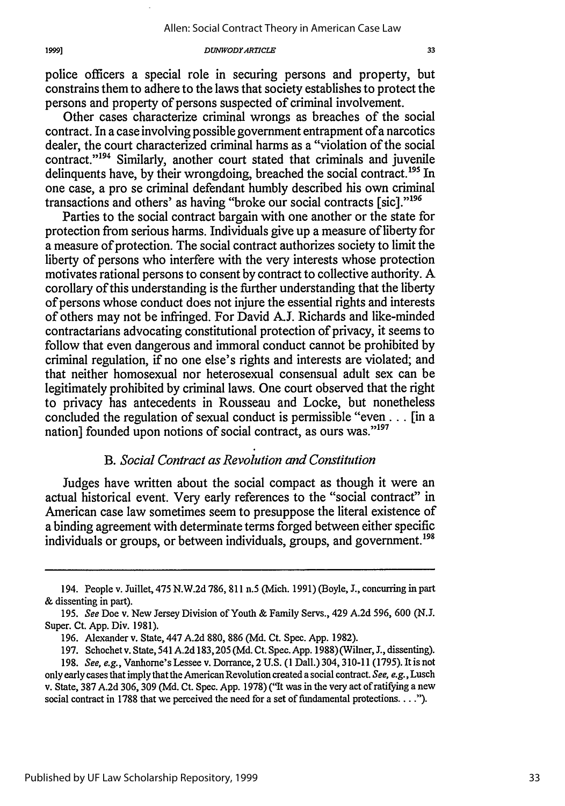Other cases characterize criminal wrongs as breaches of the social contract. In a case involving possible government entrapment of a narcotics dealer, the court characterized criminal harms as a "violation of the social contract."<sup>194</sup> Similarly, another court stated that criminals and juvenile delinquents have, by their wrongdoing, breached the social contract.<sup>195</sup> In one case, a pro se criminal defendant humbly described his own criminal transactions and others' as having "broke our social contracts [sic]."196

Parties to the social contract bargain with one another or the state for protection from serious harms. Individuals give up a measure of liberty for a measure of protection. The social contract authorizes society to limit the liberty of persons who interfere with the very interests whose protection motivates rational persons to consent by contract to collective authority. A corollary of this understanding is the further understanding that the liberty of persons whose conduct does not injure the essential rights and interests of others may not be infringed. For David A.J. Richards and like-minded contractarians advocating constitutional protection of privacy, it seems to follow that even dangerous and immoral conduct cannot be prohibited by criminal regulation, if no one else's rights and interests are violated; and that neither homosexual nor heterosexual consensual adult sex can be legitimately prohibited by criminal laws. One court observed that the right to privacy has antecedents in Rousseau and Locke, but nonetheless concluded the regulation of sexual conduct is permissible "even **...** [in a nation] founded upon notions of social contract, as ours was."<sup>197</sup>

# *B. Social Contract as Revolution and Constitution*

Judges have written about the social compact as though it were an actual historical event. Very early references to the "social contract" in American case law sometimes seem to presuppose the literal existence of a binding agreement with determinate terms forged between either specific individuals or groups, or between individuals, groups, and government.<sup>198</sup>

<sup>194.</sup> People v. Juillet, 475 N.W.2d 786, 811 n.5 (Mich. 1991) (Boyle, J., concurring in part & dissenting in part).

<sup>195.</sup> See Doe v. New Jersey Division of Youth & Family Servs., 429 A.2d 596, *600 (N.J.* Super. Ct. App. Div. 1981).

<sup>196.</sup> Alexander v. State, 447 A.2d 880, 886 (Md. Ct. Spec. App. 1982).

<sup>197.</sup> Schochet v. State, 541 A.2d 183,205 (Md. Ct. Spec. App. 1988)(Wilner, **J.,** dissenting).

<sup>198.</sup> See, e.g., Vanhorne's Lessee v. Dorrance, 2 U.S. (1 Dall.) 304,310-11 (1795). It is not only early cases that imply that the American Revolution created a social contract. See, e.g., Lusch v. State, 387 A.2d 306, 309 (Md. Ct. Spec. App. 1978) ("It was in the very act of ratifying a new social contract in 1788 that we perceived the need for a set of fundamental protections **.... ).**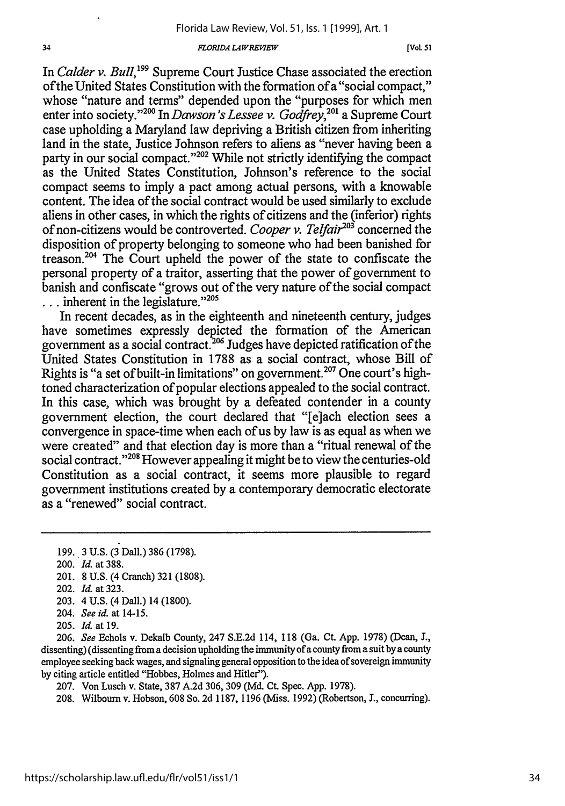#### *F 'LORIDA LAWREIP7EW*

In *Calder v. Bull,'99* Supreme Court Justice Chase associated the erection of the United States Constitution with the formation of a "social compact," whose "nature and terms" depended upon the "purposes for which men enter into society."2" In *Dawson's Lessee v. Godfrey, 0'* a Supreme Court case upholding a Maryland law depriving a British citizen from inheriting land in the state, Justice Johnson refers to aliens as "never having been a party in our social compact."<sup>202</sup> While not strictly identifying the compact as the United States Constitution, Johnson's reference to the social compact seems to imply a pact among actual persons, with a knowable content. The idea of the social contract would be used similarly to exclude aliens in other cases, in which the rights of citizens and the (inferior) rights of non-citizens would be controverted. *Cooper v. Telfair"3* concerned the disposition of property belonging to someone who had been banished for treason.<sup>204</sup> The Court upheld the power of the state to confiscate the personal property of a traitor, asserting that the power of government to banish and confiscate "grows out of the very nature of the social compact **...** inherent in the legislature." <sup>205</sup>

In recent decades, as in the eighteenth and nineteenth century, judges have sometimes expressly depicted the formation of the American government as a social contract.<sup>206</sup> Judges have depicted ratification of the United States Constitution in 1788 as a social contract, whose Bill of Rights is "a set of built-in limitations" on government.<sup>207</sup> One court's hightoned characterization of popular elections appealed to the social contract. In this case, which was brought by a defeated contender in a county government election, the court declared that "[e]ach election sees a convergence in space-time when each of us by law is as equal as when we were created" and that election day is more than a "ritual renewal of the social contract."<sup>208</sup> However appealing it might be to view the centuries-old Constitution as a social contract, it seems more plausible to regard government institutions created by a contemporary democratic electorate as a "renewed" social contract.

- 203. 4 U.S. (4 Dall.) 14 (1800).
- 204. *See id.* at 14-15.
- 205. *Id.* at 19.

206. *See* Echols v. Dekalb County, 247 S.E.2d 114, 118 (Ga. Ct. App. 1978) (Dean, **J.,** dissenting) (dissenting from a decision upholding the immunity of a county from a suit by a county employee seeking back wages, and signaling general opposition to the idea of sovereign immunity by citing article entitled "Hobbes, Holmes and Hitler").

207. Von Lusch v. State, 387 A.2d 306, 309 (Md. Ct. Spec. App. 1978).

208. Wilbourn v. Hobson, 608 So. 2d 1187, 1196 (Miss. 1992) (Robertson, J., concurring).

<sup>199. 3</sup> U.S. (3 Dall.) 386 (1798).

<sup>200.</sup> *Id.* at 388.

<sup>201. 8</sup> U.S. (4 Cranch) 321 (1808).

<sup>202.</sup> *Id.* at 323.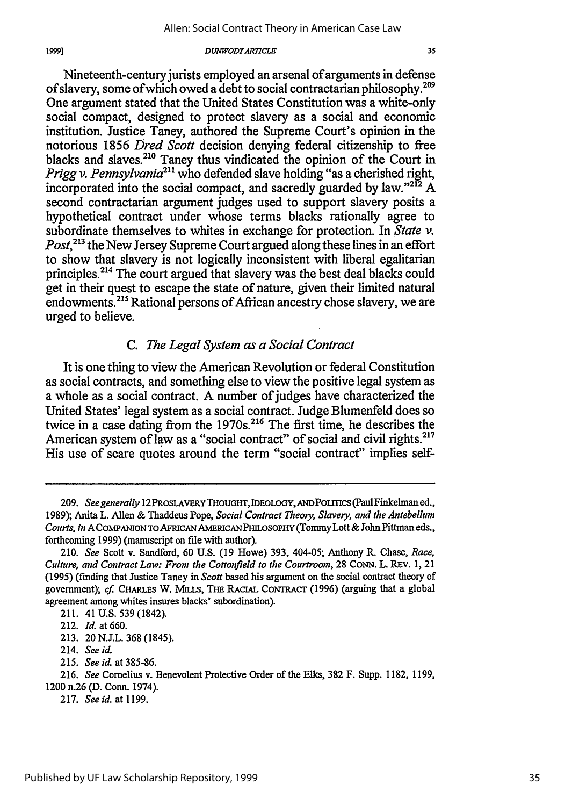Nineteenth-century jurists employed an arsenal of arguments in defense of slavery, some of which owed a debt to social contractarian philosophy.<sup>20</sup> One argument stated that the United States Constitution was a white-only social compact, designed to protect slavery as a social and economic institution. Justice Taney, authored the Supreme Court's opinion in the notorious 1856 *Dred Scott* decision denying federal citizenship to free blacks and slaves.<sup>210</sup> Taney thus vindicated the opinion of the Court in *Prigg v. Pennsylvania*<sup>211</sup> who defended slave holding "as a cherished right, incorporated into the social compact, and sacredly guarded by law." $^{212}$  A second contractarian argument judges used to support slavery posits a hypothetical contract under whose terms blacks rationally agree to subordinate themselves to whites in exchange for protection. In *State v. Post*,<sup>213</sup> the New Jersey Supreme Court argued along these lines in an effort to show that slavery is not logically inconsistent with liberal egalitarian principles.214 The court argued that slavery was the best deal blacks could get in their quest to escape the state of nature, given their limited natural endowments.<sup>215</sup> Rational persons of African ancestry chose slavery, we are

## *C. The Legal System as a Social Contract*

It is one thing to view the American Revolution or federal Constitution as social contracts, and something else to view the positive legal system as a whole as a social contract. A number of judges have characterized the United States' legal system as a social contract. Judge Blumenfeld does so twice in a case dating from the 1970s.<sup>216</sup> The first time, he describes the American system of law as a "social contract" of social and civil rights.<sup>217</sup> His use of scare quotes around the term "social contract" implies self-

urged to believe.

215. *See id.* at 385-86.

<sup>209.</sup> See generally 12 PROSLAVERY THOUGHT, IDEOLOGY, AND POLITICS (Paul Finkelman ed., 1989); Anita L. Allen & Thaddeus Pope, *Social Contract Theory, Slavery, and the Antebellum Courts, in* A COMPANION TO AFRICAN AMERICANPHILOSOPHY (Tommy Lott **&** John Pittman eds., forthcoming 1999) (manuscript on file with author).

<sup>210.</sup> *See* Scott v. Sandford, 60 U.S. (19 Howe) 393, 404-05; Anthony R. Chase, *Race, Culture, and Contract Law: From the Cottonfield to the Courtroom,* 28 **CONN.** L. REV. 1, 21 (1995) (finding that Justice Taney in *Scott* based his argument on the social contract theory of government); cf. **CHARLES** W. MiLls, **THE** RACiAL CoNTRAcT (1996) (arguing that a global agreement among whites insures blacks' subordination).

<sup>211. 41</sup> U.S. 539 (1842).

<sup>212.</sup> *Id.* at 660.

<sup>213. 20</sup> N.J.L. 368 (1845).

<sup>214.</sup> *See id.*

<sup>216.</sup> *See* Cornelius v. Benevolent Protective Order of the Elks, 382 F. Supp. 1182, 1199, 1200 n.26 (D. Conn. 1974).

<sup>217.</sup> *Seeid.* at 1199.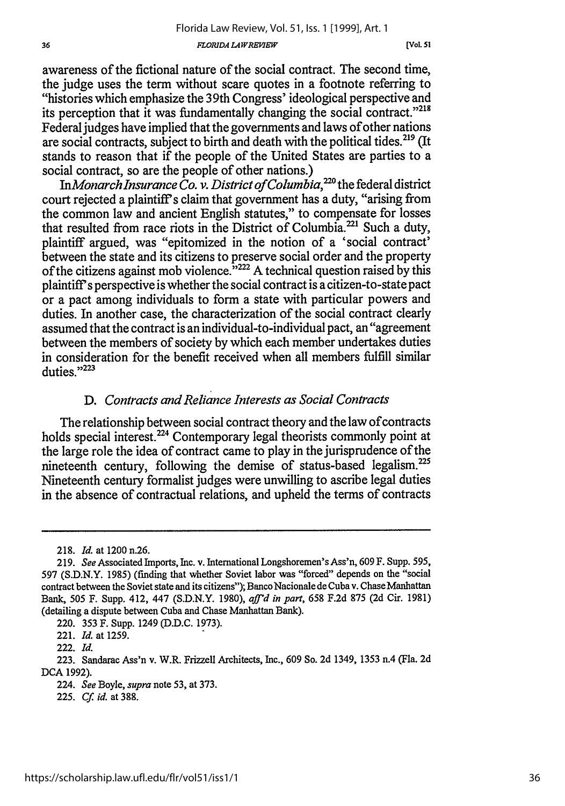**(Vol. 51**

awareness of the fictional nature of the social contract. The second time, the judge uses the term without scare quotes in a footnote referring to "histories which emphasize the 39th Congress' ideological perspective and its perception that it was fundamentally changing the social contract."<sup>218</sup>

Federal judges have implied that the governments and laws of other nations are social contracts, subject to birth and death with the political tides. 219 (It stands to reason that if the people of the United States are parties to a social contract, so are the people of other nations.)

*InMonarch Insurance Co. v. District of Columbia,"0* the federal district court rejected a plaintiff's claim that government has a duty, "arising from the common law and ancient English statutes," to compensate for losses that resulted from race riots in the District of Columbia.<sup>221</sup> Such a duty, plaintiff argued, was "epitomized in the notion of a 'social contract' between the state and its citizens to preserve social order and the property of the citizens against mob violence.<sup> $3222$ </sup> A technical question raised by this plaintiff's perspective is whether the social contract is a citizen-to-state pact or a pact among individuals to form a state with particular powers and duties. In another case, the characterization of the social contract clearly assumed that the contract is an individual-to-individual pact, an "agreement between the members of society by which each member undertakes duties in consideration for the benefit received when all members fulfill similar duties."223

# *D. Contracts and Reliance Interests as Social Contracts*

The relationship between social contract theory and the law of contracts holds special interest.<sup>224</sup> Contemporary legal theorists commonly point at the large role the idea of contract came to play in the jurisprudence of the nineteenth century, following the demise of status-based legalism.<sup>225</sup> Nineteenth century formalist judges were unwilling to ascribe legal duties in the absence of contractual relations, and upheld the terms of contracts

<sup>218.</sup> *Id.* at 1200 n.26.

<sup>219.</sup> *See* Associated Imports, Inc. v. International Longshoremen's Ass'n, 609 F. Supp. 595, 597 (S.D.N.Y. 1985) (finding that whether Soviet labor was "forced" depends on the "social contract between the Soviet state and its citizens"); Banco Nacionale de Cuba v. Chase Manhattan Bank, 505 F. Supp. 412, 447 (S.D.N.Y. 1980), *aff'd in part,* 658 F.2d 875 (2d Cir. 1981) (detailing a dispute between Cuba and Chase Manhattan Bank).

<sup>220. 353</sup> F. Supp. 1249 (D.D.C. 1973).

<sup>221.</sup> *Id.* at 1259.

<sup>222.</sup> *Id.*

<sup>223.</sup> Sandarac Ass'n v. W.R. Frizzell Architects, Inc., 609 So. 2d 1349, 1353 n.4 (Fla. 2d DCA 1992).

<sup>224.</sup> *See* Boyle, *supra* note 53, at 373.

<sup>225.</sup> *Cf. id.* at 388.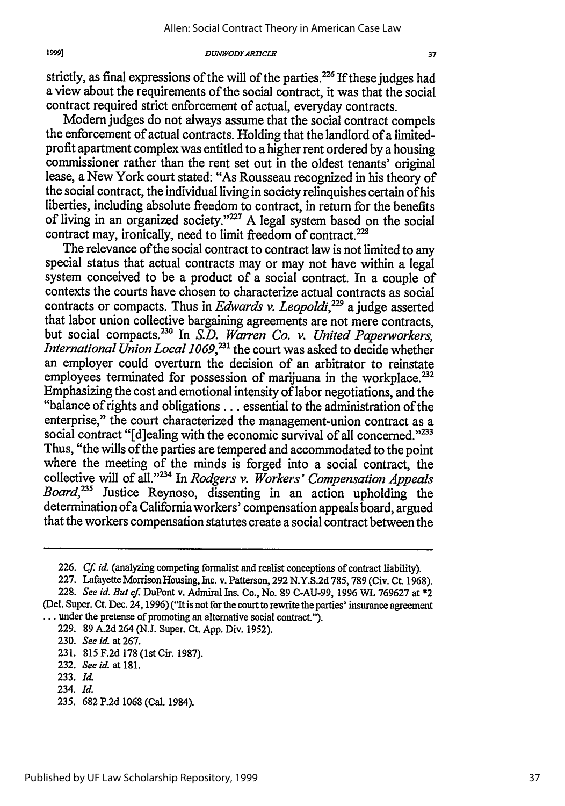strictly, as final expressions of the will of the parties.<sup>226</sup> If these judges had a view about the requirements of the social contract, it was that the social contract required strict enforcement of actual, everyday contracts.

Modern judges do not always assume that the social contract compels the enforcement of actual contracts. Holding that the landlord of a limitedprofit apartment complex was entitled to a higher rent ordered by a housing commissioner rather than the rent set out in the oldest tenants' original lease, a New York court stated: "As Rousseau recognized in his theory of the social contract, the individual living in society relinquishes certain of his liberties, including absolute freedom to contract, in return for the benefits of living in an organized society."<sup>227</sup> A legal system based on the social contract may, ironically, need to limit freedom of contract.<sup>228</sup><br>The relevance of the social contract to contract law is not limited to any

special status that actual contracts may or may not have within a legal system conceived to be a product of a social contract. In a couple of contexts the courts have chosen to characterize actual contracts as social contracts or compacts. Thus in *Edwards v. Leopoldi*,<sup>229</sup> a judge asserted that labor union collective bargaining agreements are not mere contracts, but social compacts.<sup>230</sup> In S.D. Warren Co. v. United Paperworkers, *International Union Local 1069,231* the court was asked to decide whether an employer could overturn the decision of an arbitrator to reinstate employees terminated for possession of marijuana in the workplace.<sup>232</sup> Emphasizing the cost and emotional intensity of labor negotiations, and the "balance of rights and obligations.., essential to the administration of the enterprise," the court characterized the management-union contract as a social contract "[d]ealing with the economic survival of all concerned."<sup>233</sup> Thus, "the wills ofthe parties are tempered and accommodated to the point where the meeting of the minds is forged into a social contract, the collective will of all."<sup>234</sup> In *Rodgers v. Workers' Compensation Appeals Board*,<sup>235</sup> Justice Reynoso, dissenting in an action upholding the determination ofa California workers' compensation appeals board, argued that the workers compensation statutes create a social contract between the

**<sup>226.</sup> Cf.** *id.* (analyzing competing formalist and realist conceptions of contract liability).

<sup>227.</sup> Lafayette Morrison Housing, Inc. v. Patterson, 292 N.Y.S.2d 785,789 (Civ. Ct. 1968). 228. *See id. But* cf. DuPont v. Admiral Ins. Co., No. 89 C-AU-99, 1996 WL 769627 at \*2

<sup>(</sup>Del. Super. Ct. Dec. 24, 1996) ("It is not for the court to rewrite the parties' insurance agreement **...** under the pretense of promoting an alternative social contract.").

<sup>229. 89</sup> A.2d 264 (N.J. Super. Ct. App. Div. 1952).

<sup>230.</sup> *See id.* at 267.

<sup>231. 815</sup> F.2d 178 (1st Cir. 1987).

<sup>232.</sup> *See id.* at **181.**

<sup>233.</sup> *Id.*

<sup>234.</sup> *Id.*

<sup>235. 682</sup> P.2d 1068 (Cal. 1984).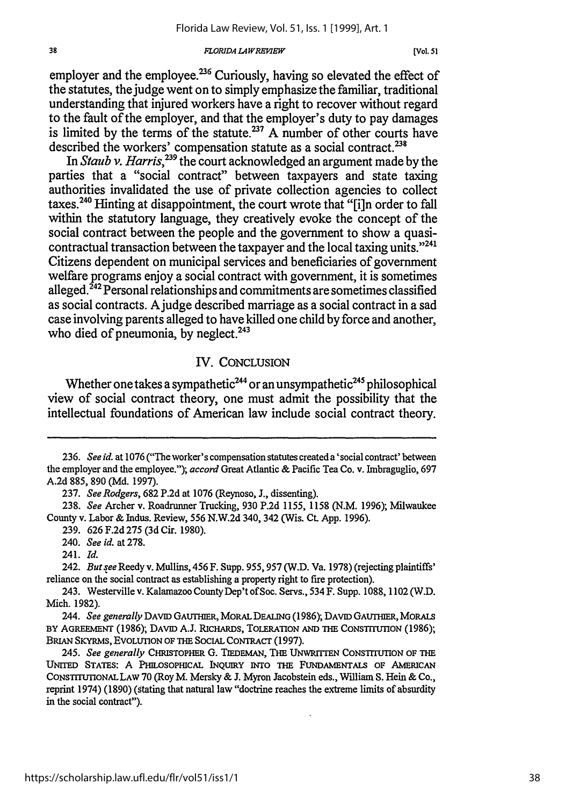*FLORIDA LA WREMfEW*

employer and the employee. $236$  Curiously, having so elevated the effect of the statutes, the judge went on to simply emphasize the familiar, traditional understanding that injured workers have a right to recover without regard to the fault of the employer, and that the employer's duty to pay damages is limited by the terms of the statute.<sup>237</sup> A number of other courts have described the workers' compensation statute as a social contract.<sup>238</sup>

In *Staub v. Harris*,<sup>239</sup> the court acknowledged an argument made by the parties that a "social contract" between taxpayers and state taxing authorities invalidated the use of private collection agencies to collect taxes.<sup>240</sup> Hinting at disappointment, the court wrote that "[i]n order to fall within the statutory language, they creatively evoke the concept of the social contract between the people and the government to show a quasicontractual transaction between the taxpayer and the local taxing units."<sup>241</sup> Citizens dependent on municipal services and beneficiaries of government welfare programs enjoy a social contract with government, it is sometimes alleged.<sup> $242$ </sup> Personal relationships and commitments are sometimes classified as social contracts. Ajudge described marriage as a social contract in a sad case involving parents alleged to have killed one child by force and another, who died of pneumonia, by neglect.<sup>243</sup>

## IV. CONCLUSION

Whether one takes a sympathetic<sup>244</sup> or an unsympathetic<sup>245</sup> philosophical view of social contract theory, one must admit the possibility that the intellectual foundations of American law include social contract theory.

38

<sup>236.</sup> *See id. at* **1076** ("The worker's compensation statutes created a'social contract' between the employer and the employee."); *accord* Great Atlantic & Pacific Tea Co. v. Imbraguglio, 697 A.2d 885, 890 (Md. 1997).

<sup>237.</sup> *See Rodgers,* 682 P.2d at 1076 (Reynoso, J., dissenting).

<sup>238.</sup> *See* Archer v. Roadrunner Trucking, 930 P.2d 1155, 1158 (N.M. 1996); Milwaukee County v. Labor & Indus. Review, 556 N.W.2d 340, 342 (Wis. Ct. App. 1996).

<sup>239. 626</sup> F.2d *275* (3d Cir. 1980).

<sup>240.</sup> *See id.* at 278.

<sup>241.</sup> *Id.*

<sup>242.</sup> *Butsee* Reedy v. Mullins, 456 F. Supp. 955,957 (W.D. Va. 1978) (rejecting plaintiffs' reliance on the social contract as establishing a property right to fire protection).

<sup>243.</sup> Westerville v. Kalamazoo CountyDep'tofSoc. Servs., 534 F. Supp. 1088, 1102 (W.D. Mich. 1982).

<sup>244.</sup> See generally DAVID GAUTHER, MORAL DEALING (1986); DAVID GAUTHER, MORALS BY **AGREEMENT (1986);** DAVID **A.J.** RICHARDS, **TOLERATION AND THE** CoNsTrTmoN **(1986);** BRIAN SKYRMS, EVOLUTION OF THE SOCIAL CONTRACT (1997).

<sup>245.</sup> *See generally* CHRiSTOPHER G. TiEDEMAN, **THE** UNwRrrrEN CONSTITUTION OF THE UNrTED STATES: A PILOSOPICAL INQUIRY INTO **THE** FUNDAMENTALS OF AMERICAN CONSTITUIIONALLAW 70 (Roy M. Mersky **& J.** Myron Jacobstein eds., William **S.** Hein & Co., reprint 1974) (1890) (stating that natural law "doctrine reaches the extreme limits of absurdity in the social contract").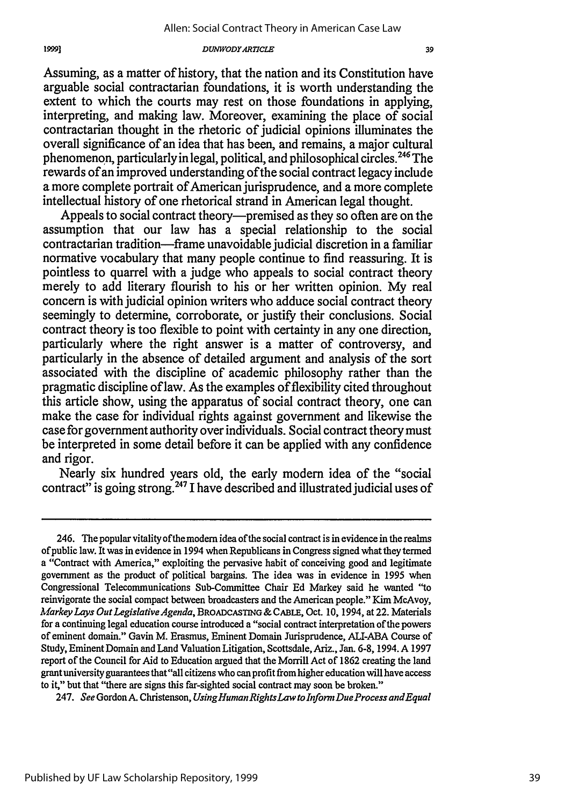#### *DUMVODYARTICLE*

Assuming, as a matter of history, that the nation and its Constitution have arguable social contractarian foundations, it is worth understanding the extent to which the courts may rest on those foundations in applying, interpreting, and making law. Moreover, examining the place of social contractarian thought in the rhetoric of judicial opinions illuminates the overall significance of an idea that has been, and remains, a major cultural phenomenon, particularly in legal, political, and philosophical circles.<sup>246</sup> The rewards of an improved understanding of the social contract legacy include a more complete portrait of American jurisprudence, and a more complete intellectual history of one rhetorical strand in American legal thought.

Appeals to social contract theory—premised as they so often are on the assumption that our law has a special relationship to the social contractarian tradition-frame unavoidable judicial discretion in a familiar normative vocabulary that many people continue to find reassuring. It is pointless to quarrel with a judge who appeals to social contract theory merely to add literary flourish to his or her written opinion. My real concern is with judicial opinion writers who adduce social contract theory seemingly to determine, corroborate, or justify their conclusions. Social contract theory is too flexible to point with certainty in any one direction, particularly where the right answer is a matter of controversy, and particularly in the absence of detailed argument and analysis of the sort associated with the discipline of academic philosophy rather than the pragmatic discipline of law. As the examples of flexibility cited throughout this article show, using the apparatus of social contract theory, one can make the case for individual rights against government and likewise the case for government authority over individuals. Social contract theory must be interpreted in some detail before it can be applied with any confidence and rigor.

Nearly six hundred years old, the early modem idea of the "social contract" is going strong.<sup>247</sup> I have described and illustrated judicial uses of

247. *See* Gordon A. Christenson, *UsingHumanRightsLaw toInformDueProcess andEqual*

<sup>246.</sup> The popular vitality ofthe moden idea of the social contract is in evidence in the realms of public law. It was in evidence in 1994 when Republicans in Congress signed what they termed a "Contract with America," exploiting the pervasive habit of conceiving good and legitimate government as the product of political bargains. The idea was in evidence in 1995 when Congressional Telecommunications Sub-Committee Chair Ed Markey said he wanted "to reinvigorate the social compact between broadcasters and the American people." Kim McAvoy, *Markey Lays Out Legislative Agenda,* BROADCASTtNG& CABLE, Oct. 10, 1994, at 22. Materials for a continuing legal education course introduced a "social contract interpretation of the powers of eminent domain." Gavin M. Erasmus, Eminent Domain Jurisprudence, ALI-ABA Course of Study, Eminent Domain and Land Valuation Litigation, Scottsdale, Ariz., Jan. 6-8, 1994. A 1997 report of the Council for Aid to Education argued that the Morrill Act of 1862 creating the land grant university guarantees that "all citizens who can profit from higher education will have access to it," but that "there are signs this far-sighted social contract may soon be broken."